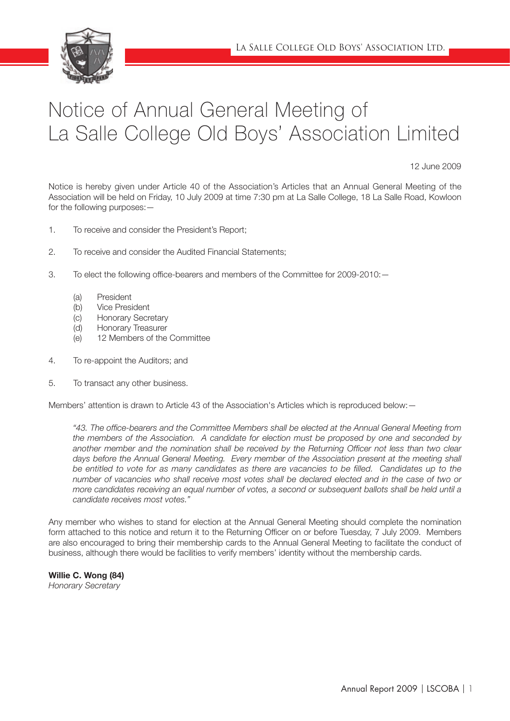

# Notice of Annual General Meeting of La Salle College Old Boys' Association Limited

12 June 2009

Notice is hereby given under Article 40 of the Association's Articles that an Annual General Meeting of the Association will be held on Friday, 10 July 2009 at time 7:30 pm at La Salle College, 18 La Salle Road, Kowloon for the following purposes: —

- 1. To receive and consider the President's Report;
- 2. To receive and consider the Audited Financial Statements;
- 3. To elect the following office-bearers and members of the Committee for 2009-2010:
	- (a) President
	- (b) Vice President
	- (c) Honorary Secretary
	- (d) Honorary Treasurer
	- (e) 12 Members of the Committee
- 4. To re-appoint the Auditors; and
- 5. To transact any other business.

Members' attention is drawn to Article 43 of the Association's Articles which is reproduced below:—

<sup>4</sup>43. The office-bearers and the Committee Members shall be elected at the Annual General Meeting from the members of the Association. A candidate for election must be proposed by one and seconded by another member and the nomination shall be received by the Returning Officer not less than two clear days before the Annual General Meeting. Every member of the Association present at the meeting shall *be entitled to vote for as many candidates as there are vacancies to be filled. Candidates up to the number of vacancies who shall receive most votes shall be declared elected and in the case of two or more candidates receiving an equal number of votes, a second or subsequent ballots shall be held until a candidate receives most votes."*

Any member who wishes to stand for election at the Annual General Meeting should complete the nomination form attached to this notice and return it to the Returning Officer on or before Tuesday, 7 July 2009. Members are also encouraged to bring their membership cards to the Annual General Meeting to facilitate the conduct of business, although there would be facilities to verify members' identity without the membership cards.

Willie C. Wong (84) *Honorary Secretary*

Annual Report 2009 | LSCOBA | 1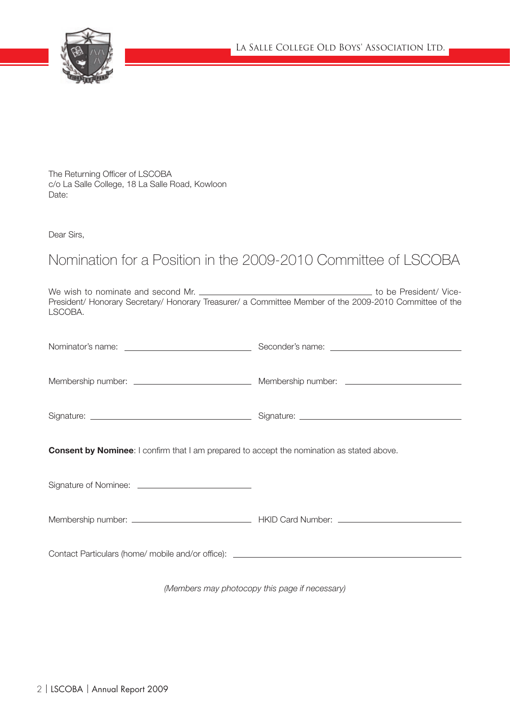

The Returning Officer of LSCOBA c/o La Salle College, 18 La Salle Road, Kowloon Date:

Dear Sirs,

# Nomination for a Position in the 2009-2010 Committee of LSCOBA

We wish to nominate and second Mr. to be President/ Vice-President/ Honorary Secretary/ Honorary Treasurer/ a Committee Member of the 2009-2010 Committee of the LSCOBA.

| <b>Consent by Nominee:</b> I confirm that I am prepared to accept the nomination as stated above. |  |
|---------------------------------------------------------------------------------------------------|--|
|                                                                                                   |  |
|                                                                                                   |  |
| Contact Particulars (home/mobile and/or office): ________________________________                 |  |

*(Members may photocopy this page if necessary)*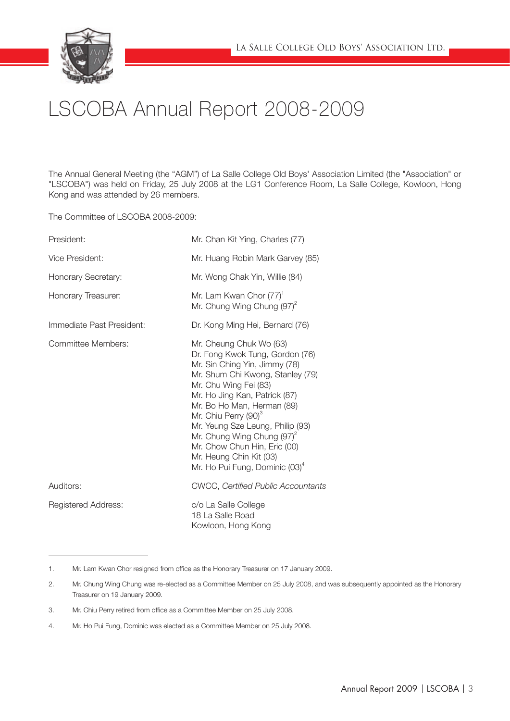

# LSCOBA Annual Report 2008-2009

The Annual General Meeting (the "AGM") of La Salle College Old Boys' Association Limited (the "Association" or "LSCOBA") was held on Friday, 25 July 2008 at the LG1 Conference Room, La Salle College, Kowloon, Hong Kong and was attended by 26 members.

The Committee of LSCOBA 2008-2009:

| President:                 | Mr. Chan Kit Ying, Charles (77)                                                                                                                                                                                                                                                                                                                                                                                                  |
|----------------------------|----------------------------------------------------------------------------------------------------------------------------------------------------------------------------------------------------------------------------------------------------------------------------------------------------------------------------------------------------------------------------------------------------------------------------------|
| Vice President:            | Mr. Huang Robin Mark Garvey (85)                                                                                                                                                                                                                                                                                                                                                                                                 |
| Honorary Secretary:        | Mr. Wong Chak Yin, Willie (84)                                                                                                                                                                                                                                                                                                                                                                                                   |
| Honorary Treasurer:        | Mr. Lam Kwan Chor (77) <sup>1</sup><br>Mr. Chung Wing Chung $(97)^2$                                                                                                                                                                                                                                                                                                                                                             |
| Immediate Past President:  | Dr. Kong Ming Hei, Bernard (76)                                                                                                                                                                                                                                                                                                                                                                                                  |
| Committee Members:         | Mr. Cheung Chuk Wo (63)<br>Dr. Fong Kwok Tung, Gordon (76)<br>Mr. Sin Ching Yin, Jimmy (78)<br>Mr. Shum Chi Kwong, Stanley (79)<br>Mr. Chu Wing Fei (83)<br>Mr. Ho Jing Kan, Patrick (87)<br>Mr. Bo Ho Man, Herman (89)<br>Mr. Chiu Perry (90) <sup>3</sup><br>Mr. Yeung Sze Leung, Philip (93)<br>Mr. Chung Wing Chung $(97)^2$<br>Mr. Chow Chun Hin, Eric (00)<br>Mr. Heung Chin Kit (03)<br>Mr. Ho Pui Fung, Dominic $(03)^4$ |
| Auditors:                  | <b>CWCC, Certified Public Accountants</b>                                                                                                                                                                                                                                                                                                                                                                                        |
| <b>Registered Address:</b> | c/o La Salle College<br>18 La Salle Road<br>Kowloon, Hong Kong                                                                                                                                                                                                                                                                                                                                                                   |

<sup>1.</sup> Mr. Lam Kwan Chor resigned from office as the Honorary Treasurer on 17 January 2009.

<sup>2.</sup> Mr. Chung Wing Chung was re-elected as a Committee Member on 25 July 2008, and was subsequently appointed as the Honorary Treasurer on 19 January 2009.

<sup>3.</sup> Mr. Chiu Perry retired from office as a Committee Member on 25 July 2008.

<sup>4.</sup> Mr. Ho Pui Fung, Dominic was elected as a Committee Member on 25 July 2008.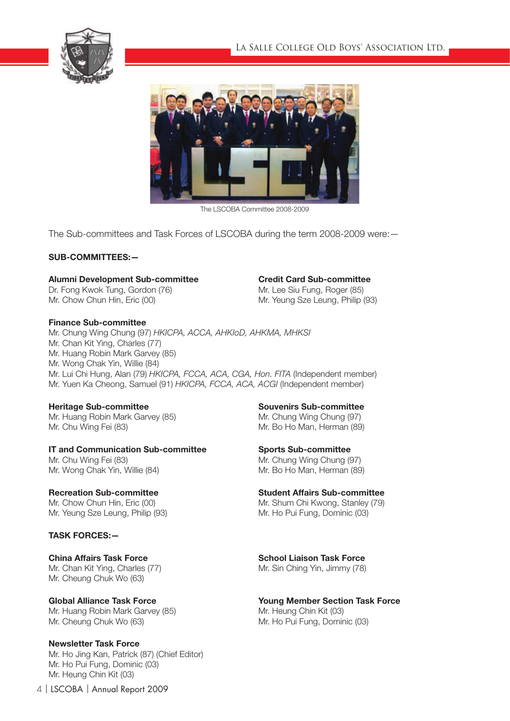



The LSCOBA Committee 2008-2009

The Sub-committees and Task Forces of LSCOBA during the term 2008-2009 were:—

# SUB-COMMITTEES:—

# Alumni Development Sub-committee Credit Card Sub-committee

## Finance Sub-committee

Mr. Chung Wing Chung (97) *HKICPA, ACCA, AHKIoD, AHKMA, MHKSI* Mr. Chan Kit Ying, Charles (77) Mr. Huang Robin Mark Garvey (85) Mr. Wong Chak Yin, Willie (84) Mr. Lui Chi Hung, Alan (79) *HKICPA, FCCA, ACA, CGA, Hon. FITA* (Independent member) Mr. Yuen Ka Cheong, Samuel (91) *HKICPA, FCCA, ACA, ACGI* (Independent member)

Heritage Sub-committee Souvenirs Sub-committee Mr. Huang Robin Mark Garvey (85) Mr. Chung Wing Chung (97) Mr. Chu Wing Fei (83) Mr. Bo Ho Man, Herman (89)

IT and Communication Sub-committee Sports Sub-committee Mr. Chu Wing Fei (83) Mr. Chung Wing Chung (97)

Mr. Yeung Sze Leung, Philip (93) Mr. Ho Pui Fung, Dominic (03)

# TASK FORCES:—

Mr. Cheung Chuk Wo (63)

Mr. Huang Robin Mark Garvey (85) Mr. Heung Chin Kit (03) Mr. Cheung Chuk Wo (63) Mr. Ho Pui Fung, Dominic (03)

Newsletter Task Force Mr. Ho Jing Kan, Patrick (87) (Chief Editor) Mr. Ho Pui Fung, Dominic (03) Mr. Heung Chin Kit (03)

Dr. Fong Kwok Tung, Gordon (76) Mr. Lee Siu Fung, Roger (85) Mr. Chow Chun Hin, Eric (00) Channel Mr. Yeung Sze Leung, Philip (93)

Mr. Wong Chak Yin, Willie (84) Mr. Bo Ho Man, Herman (89)

Recreation Sub-committee Student Affairs Sub-committee Mr. Chow Chun Hin, Eric (00) The Mr. Shum Chi Kwong, Stanley (79)

China Affairs Task Force **School Liaison Task Force** School Liaison Task Force Mr. Chan Kit Ying, Charles (77) Mr. Sin Ching Yin, Jimmy (78)

Global Alliance Task Force Task Force The Young Member Section Task Force

4 | LSCOBA | Annual Report 2009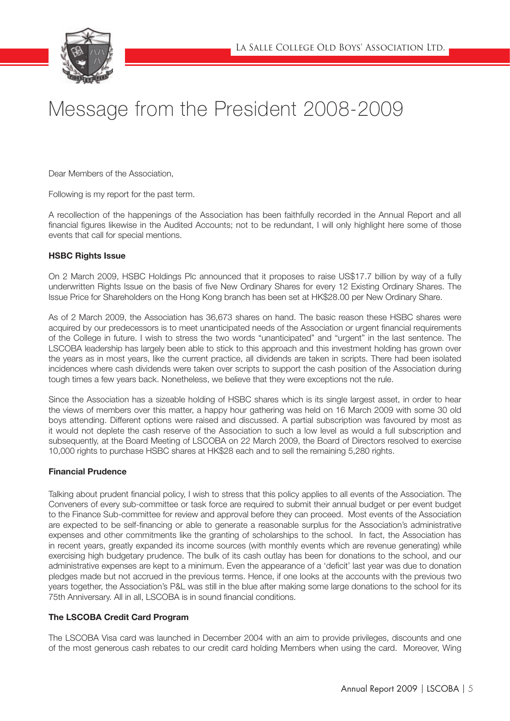

# Message from the President 2008-2009

Dear Members of the Association,

Following is my report for the past term.

A recollection of the happenings of the Association has been faithfully recorded in the Annual Report and all financial figures likewise in the Audited Accounts; not to be redundant, I will only highlight here some of those events that call for special mentions.

## HSBC Rights Issue

On 2 March 2009, HSBC Holdings Plc announced that it proposes to raise US\$17.7 billion by way of a fully underwritten Rights Issue on the basis of five New Ordinary Shares for every 12 Existing Ordinary Shares. The Issue Price for Shareholders on the Hong Kong branch has been set at HK\$28.00 per New Ordinary Share.

As of 2 March 2009, the Association has 36,673 shares on hand. The basic reason these HSBC shares were acquired by our predecessors is to meet unanticipated needs of the Association or urgent financial requirements of the College in future. I wish to stress the two words "unanticipated" and "urgent" in the last sentence. The LSCOBA leadership has largely been able to stick to this approach and this investment holding has grown over the years as in most years, like the current practice, all dividends are taken in scripts. There had been isolated incidences where cash dividends were taken over scripts to support the cash position of the Association during tough times a few years back. Nonetheless, we believe that they were exceptions not the rule.

Since the Association has a sizeable holding of HSBC shares which is its single largest asset, in order to hear the views of members over this matter, a happy hour gathering was held on 16 March 2009 with some 30 old boys attending. Different options were raised and discussed. A partial subscription was favoured by most as it would not deplete the cash reserve of the Association to such a low level as would a full subscription and subsequently, at the Board Meeting of LSCOBA on 22 March 2009, the Board of Directors resolved to exercise 10,000 rights to purchase HSBC shares at HK\$28 each and to sell the remaining 5,280 rights.

# Financial Prudence

Talking about prudent financial policy, I wish to stress that this policy applies to all events of the Association. The Conveners of every sub-committee or task force are required to submit their annual budget or per event budget to the Finance Sub-committee for review and approval before they can proceed. Most events of the Association are expected to be self-financing or able to generate a reasonable surplus for the Association's administrative expenses and other commitments like the granting of scholarships to the school. In fact, the Association has in recent years, greatly expanded its income sources (with monthly events which are revenue generating) while exercising high budgetary prudence. The bulk of its cash outlay has been for donations to the school, and our administrative expenses are kept to a minimum. Even the appearance of a 'deficit' last year was due to donation pledges made but not accrued in the previous terms. Hence, if one looks at the accounts with the previous two years together, the Association's P&L was still in the blue after making some large donations to the school for its 75th Anniversary. All in all, LSCOBA is in sound financial conditions.

# The LSCOBA Credit Card Program

The LSCOBA Visa card was launched in December 2004 with an aim to provide privileges, discounts and one of the most generous cash rebates to our credit card holding Members when using the card. Moreover, Wing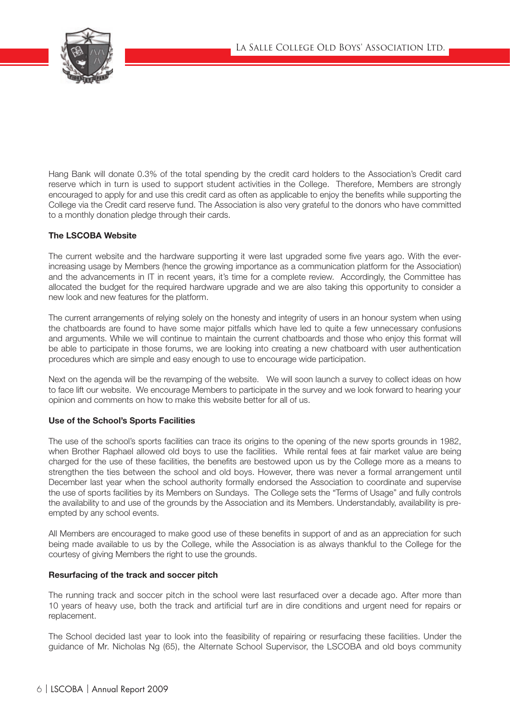

Hang Bank will donate 0.3% of the total spending by the credit card holders to the Association's Credit card reserve which in turn is used to support student activities in the College. Therefore, Members are strongly encouraged to apply for and use this credit card as often as applicable to enjoy the benefits while supporting the College via the Credit card reserve fund. The Association is also very grateful to the donors who have committed to a monthly donation pledge through their cards.

# The LSCOBA Website

The current website and the hardware supporting it were last upgraded some five years ago. With the everincreasing usage by Members (hence the growing importance as a communication platform for the Association) and the advancements in IT in recent years, it's time for a complete review. Accordingly, the Committee has allocated the budget for the required hardware upgrade and we are also taking this opportunity to consider a new look and new features for the platform.

The current arrangements of relying solely on the honesty and integrity of users in an honour system when using the chatboards are found to have some major pitfalls which have led to quite a few unnecessary confusions and arguments. While we will continue to maintain the current chatboards and those who enjoy this format will be able to participate in those forums, we are looking into creating a new chatboard with user authentication procedures which are simple and easy enough to use to encourage wide participation.

Next on the agenda will be the revamping of the website. We will soon launch a survey to collect ideas on how to face lift our website. We encourage Members to participate in the survey and we look forward to hearing your opinion and comments on how to make this website better for all of us.

# Use of the School's Sports Facilities

The use of the school's sports facilities can trace its origins to the opening of the new sports grounds in 1982, when Brother Raphael allowed old boys to use the facilities. While rental fees at fair market value are being charged for the use of these facilities, the benefits are bestowed upon us by the College more as a means to strengthen the ties between the school and old boys. However, there was never a formal arrangement until December last year when the school authority formally endorsed the Association to coordinate and supervise the use of sports facilities by its Members on Sundays. The College sets the "Terms of Usage" and fully controls the availability to and use of the grounds by the Association and its Members. Understandably, availability is preempted by any school events.

All Members are encouraged to make good use of these benefits in support of and as an appreciation for such being made available to us by the College, while the Association is as always thankful to the College for the courtesy of giving Members the right to use the grounds.

# Resurfacing of the track and soccer pitch

The running track and soccer pitch in the school were last resurfaced over a decade ago. After more than 10 years of heavy use, both the track and artificial turf are in dire conditions and urgent need for repairs or replacement.

The School decided last year to look into the feasibility of repairing or resurfacing these facilities. Under the guidance of Mr. Nicholas Ng (65), the Alternate School Supervisor, the LSCOBA and old boys community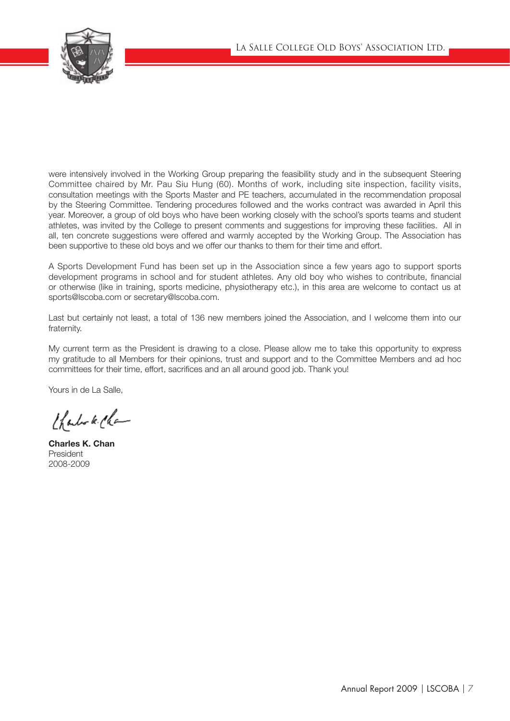

were intensively involved in the Working Group preparing the feasibility study and in the subsequent Steering Committee chaired by Mr. Pau Siu Hung (60). Months of work, including site inspection, facility visits, consultation meetings with the Sports Master and PE teachers, accumulated in the recommendation proposal by the Steering Committee. Tendering procedures followed and the works contract was awarded in April this year. Moreover, a group of old boys who have been working closely with the school's sports teams and student athletes, was invited by the College to present comments and suggestions for improving these facilities. All in all, ten concrete suggestions were offered and warmly accepted by the Working Group. The Association has been supportive to these old boys and we offer our thanks to them for their time and effort.

A Sports Development Fund has been set up in the Association since a few years ago to support sports development programs in school and for student athletes. Any old boy who wishes to contribute, financial or otherwise (like in training, sports medicine, physiotherapy etc.), in this area are welcome to contact us at sports@lscoba.com or secretary@lscoba.com.

Last but certainly not least, a total of 136 new members joined the Association, and I welcome them into our fraternity.

My current term as the President is drawing to a close. Please allow me to take this opportunity to express my gratitude to all Members for their opinions, trust and support and to the Committee Members and ad hoc committees for their time, effort, sacrifices and an all around good job. Thank you!

Yours in de La Salle,

thanks kille

Charles K. Chan President 2008-2009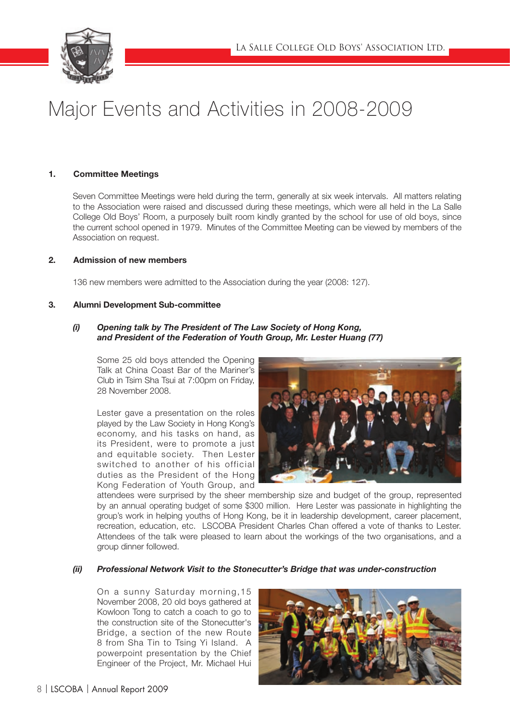

# Major Events and Activities in 2008-2009

# 1. Committee Meetings

Seven Committee Meetings were held during the term, generally at six week intervals. All matters relating to the Association were raised and discussed during these meetings, which were all held in the La Salle College Old Boys' Room, a purposely built room kindly granted by the school for use of old boys, since the current school opened in 1979. Minutes of the Committee Meeting can be viewed by members of the Association on request.

## 2. Admission of new members

136 new members were admitted to the Association during the year (2008: 127).

## 3. Alumni Development Sub-committee

# *(i) Opening talk by The President of The Law Society of Hong Kong, and President of the Federation of Youth Group, Mr. Lester Huang (77)*

Some 25 old boys attended the Opening Talk at China Coast Bar of the Mariner's Club in Tsim Sha Tsui at 7:00pm on Friday. 28 November 2008.

Lester gave a presentation on the roles played by the Law Society in Hong Kong's economy, and his tasks on hand, as its President, were to promote a just and equitable society. Then Lester switched to another of his official duties as the President of the Hong Kong Federation of Youth Group, and



attendees were surprised by the sheer membership size and budget of the group, represented by an annual operating budget of some \$300 million. Here Lester was passionate in highlighting the group's work in helping youths of Hong Kong, be it in leadership development, career placement, recreation, education, etc. LSCOBA President Charles Chan offered a vote of thanks to Lester. Attendees of the talk were pleased to learn about the workings of the two organisations, and a group dinner followed.

# *(ii) Professional Network Visit to the Stonecutter's Bridge that was under-construction*

On a sunny Saturday morning,15 November 2008, 20 old boys gathered at Kowloon Tong to catch a coach to go to the construction site of the Stonecutter's Bridge, a section of the new Route 8 from Sha Tin to Tsing Yi Island. A powerpoint presentation by the Chief Engineer of the Project, Mr. Michael Hui

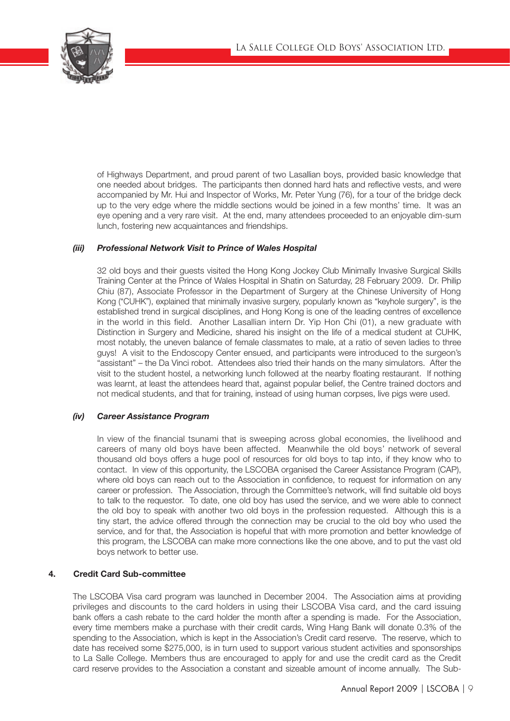

of Highways Department, and proud parent of two Lasallian boys, provided basic knowledge that one needed about bridges. The participants then donned hard hats and reflective vests, and were accompanied by Mr. Hui and Inspector of Works, Mr. Peter Yung (76), for a tour of the bridge deck up to the very edge where the middle sections would be joined in a few months' time. It was an eye opening and a very rare visit. At the end, many attendees proceeded to an enjoyable dim-sum lunch, fostering new acquaintances and friendships.

# *(iii) Professional Network Visit to Prince of Wales Hospital*

32 old boys and their guests visited the Hong Kong Jockey Club Minimally Invasive Surgical Skills Training Center at the Prince of Wales Hospital in Shatin on Saturday, 28 February 2009. Dr. Philip Chiu (87), Associate Professor in the Department of Surgery at the Chinese University of Hong Kong ("CUHK"), explained that minimally invasive surgery, popularly known as "keyhole surgery", is the established trend in surgical disciplines, and Hong Kong is one of the leading centres of excellence in the world in this field. Another Lasallian intern Dr. Yip Hon Chi (01), a new graduate with Distinction in Surgery and Medicine, shared his insight on the life of a medical student at CUHK, most notably, the uneven balance of female classmates to male, at a ratio of seven ladies to three guys! A visit to the Endoscopy Center ensued, and participants were introduced to the surgeon's "assistant" – the Da Vinci robot. Attendees also tried their hands on the many simulators. After the visit to the student hostel, a networking lunch followed at the nearby floating restaurant. If nothing was learnt, at least the attendees heard that, against popular belief, the Centre trained doctors and not medical students, and that for training, instead of using human corpses, live pigs were used.

# *(iv) Career Assistance Program*

In view of the financial tsunami that is sweeping across global economies, the livelihood and careers of many old boys have been affected. Meanwhile the old boys' network of several thousand old boys offers a huge pool of resources for old boys to tap into, if they know who to contact. In view of this opportunity, the LSCOBA organised the Career Assistance Program (CAP), where old boys can reach out to the Association in confidence, to request for information on any career or profession. The Association, through the Committee's network, will find suitable old boys to talk to the requestor. To date, one old boy has used the service, and we were able to connect the old boy to speak with another two old boys in the profession requested. Although this is a tiny start, the advice offered through the connection may be crucial to the old boy who used the service, and for that, the Association is hopeful that with more promotion and better knowledge of this program, the LSCOBA can make more connections like the one above, and to put the vast old boys network to better use.

# 4. Credit Card Sub-committee

The LSCOBA Visa card program was launched in December 2004. The Association aims at providing privileges and discounts to the card holders in using their LSCOBA Visa card, and the card issuing bank offers a cash rebate to the card holder the month after a spending is made. For the Association, every time members make a purchase with their credit cards, Wing Hang Bank will donate 0.3% of the spending to the Association, which is kept in the Association's Credit card reserve. The reserve, which to date has received some \$275,000, is in turn used to support various student activities and sponsorships to La Salle College. Members thus are encouraged to apply for and use the credit card as the Credit card reserve provides to the Association a constant and sizeable amount of income annually. The Sub-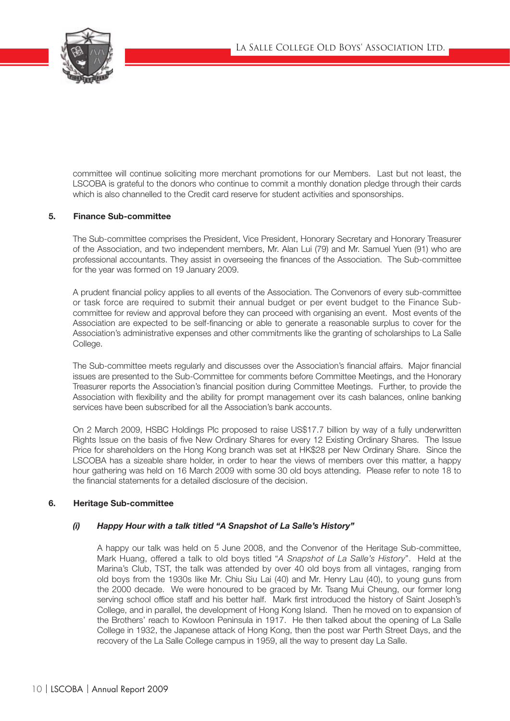

committee will continue soliciting more merchant promotions for our Members. Last but not least, the LSCOBA is grateful to the donors who continue to commit a monthly donation pledge through their cards which is also channelled to the Credit card reserve for student activities and sponsorships.

# 5. Finance Sub-committee

The Sub-committee comprises the President, Vice President, Honorary Secretary and Honorary Treasurer of the Association, and two independent members, Mr. Alan Lui (79) and Mr. Samuel Yuen (91) who are professional accountants. They assist in overseeing the finances of the Association. The Sub-committee for the year was formed on 19 January 2009.

A prudent financial policy applies to all events of the Association. The Convenors of every sub-committee or task force are required to submit their annual budget or per event budget to the Finance Subcommittee for review and approval before they can proceed with organising an event. Most events of the Association are expected to be self-financing or able to generate a reasonable surplus to cover for the Association's administrative expenses and other commitments like the granting of scholarships to La Salle College.

The Sub-committee meets regularly and discusses over the Association's financial affairs. Major financial issues are presented to the Sub-Committee for comments before Committee Meetings, and the Honorary Treasurer reports the Association's financial position during Committee Meetings. Further, to provide the Association with flexibility and the ability for prompt management over its cash balances, online banking services have been subscribed for all the Association's bank accounts.

On 2 March 2009, HSBC Holdings Plc proposed to raise US\$17.7 billion by way of a fully underwritten Rights Issue on the basis of five New Ordinary Shares for every 12 Existing Ordinary Shares. The Issue Price for shareholders on the Hong Kong branch was set at HK\$28 per New Ordinary Share. Since the LSCOBA has a sizeable share holder, in order to hear the views of members over this matter, a happy hour gathering was held on 16 March 2009 with some 30 old boys attending. Please refer to note 18 to the financial statements for a detailed disclosure of the decision.

## 6. Heritage Sub-committee

# *(i) Happy Hour with a talk titled "A Snapshot of La Salle's History"*

A happy our talk was held on 5 June 2008, and the Convenor of the Heritage Sub-committee, Mark Huang, offered a talk to old boys titled "*A Snapshot of La Salle's History*". Held at the Marina's Club, TST, the talk was attended by over 40 old boys from all vintages, ranging from old boys from the 1930s like Mr. Chiu Siu Lai (40) and Mr. Henry Lau (40), to young guns from the 2000 decade. We were honoured to be graced by Mr. Tsang Mui Cheung, our former long serving school office staff and his better half. Mark first introduced the history of Saint Joseph's College, and in parallel, the development of Hong Kong Island. Then he moved on to expansion of the Brothers' reach to Kowloon Peninsula in 1917. He then talked about the opening of La Salle College in 1932, the Japanese attack of Hong Kong, then the post war Perth Street Days, and the recovery of the La Salle College campus in 1959, all the way to present day La Salle.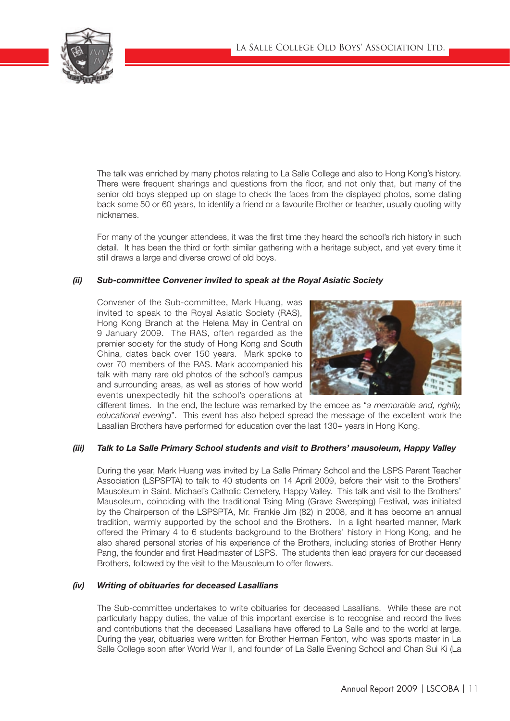

The talk was enriched by many photos relating to La Salle College and also to Hong Kong's history. There were frequent sharings and questions from the floor, and not only that, but many of the senior old boys stepped up on stage to check the faces from the displayed photos, some dating back some 50 or 60 years, to identify a friend or a favourite Brother or teacher, usually quoting witty nicknames.

For many of the younger attendees, it was the first time they heard the school's rich history in such detail. It has been the third or forth similar gathering with a heritage subject, and yet every time it still draws a large and diverse crowd of old boys.

# *(ii) Sub-committee Convener invited to speak at the Royal Asiatic Society*

Convener of the Sub-committee, Mark Huang, was invited to speak to the Royal Asiatic Society (RAS), Hong Kong Branch at the Helena May in Central on 9 January 2009. The RAS, often regarded as the premier society for the study of Hong Kong and South China, dates back over 150 years. Mark spoke to over 70 members of the RAS. Mark accompanied his talk with many rare old photos of the school's campus and surrounding areas, as well as stories of how world events unexpectedly hit the school's operations at



different times. In the end, the lecture was remarked by the emcee as "*a memorable and, rightly, educational evening*". This event has also helped spread the message of the excellent work the Lasallian Brothers have performed for education over the last 130+ years in Hong Kong.

# *(iii) Talk to La Salle Primary School students and visit to Brothers' mausoleum, Happy Valley*

During the year, Mark Huang was invited by La Salle Primary School and the LSPS Parent Teacher Association (LSPSPTA) to talk to 40 students on 14 April 2009, before their visit to the Brothers' Mausoleum in Saint. Michael's Catholic Cemetery, Happy Valley. This talk and visit to the Brothers' Mausoleum, coinciding with the traditional Tsing Ming (Grave Sweeping) Festival, was initiated by the Chairperson of the LSPSPTA, Mr. Frankie Jim (82) in 2008, and it has become an annual tradition, warmly supported by the school and the Brothers. In a light hearted manner, Mark offered the Primary 4 to 6 students background to the Brothers' history in Hong Kong, and he also shared personal stories of his experience of the Brothers, including stories of Brother Henry Pang, the founder and first Headmaster of LSPS. The students then lead prayers for our deceased Brothers, followed by the visit to the Mausoleum to offer flowers.

# *(iv) Writing of obituaries for deceased Lasallians*

The Sub-committee undertakes to write obituaries for deceased Lasallians. While these are not particularly happy duties, the value of this important exercise is to recognise and record the lives and contributions that the deceased Lasallians have offered to La Salle and to the world at large. During the year, obituaries were written for Brother Herman Fenton, who was sports master in La Salle College soon after World War II, and founder of La Salle Evening School and Chan Sui Ki (La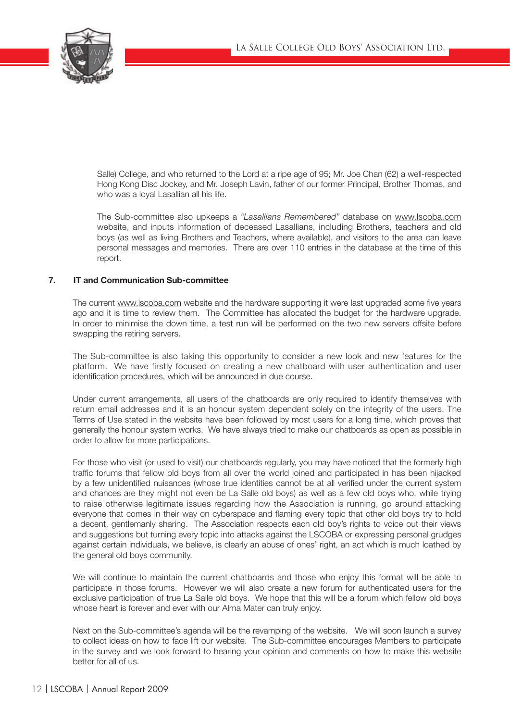

Salle) College, and who returned to the Lord at a ripe age of 95; Mr. Joe Chan (62) a well-respected Hong Kong Disc Jockey, and Mr. Joseph Lavin, father of our former Principal, Brother Thomas, and who was a loyal Lasallian all his life.

The Sub-committee also upkeeps a *"Lasallians Remembered"* database on www.lscoba.com website, and inputs information of deceased Lasallians, including Brothers, teachers and old boys (as well as living Brothers and Teachers, where available), and visitors to the area can leave personal messages and memories. There are over 110 entries in the database at the time of this report.

## 7. IT and Communication Sub-committee

The current www.lscoba.com website and the hardware supporting it were last upgraded some five years ago and it is time to review them. The Committee has allocated the budget for the hardware upgrade. In order to minimise the down time, a test run will be performed on the two new servers offsite before swapping the retiring servers.

The Sub-committee is also taking this opportunity to consider a new look and new features for the platform. We have firstly focused on creating a new chatboard with user authentication and user identification procedures, which will be announced in due course.

Under current arrangements, all users of the chatboards are only required to identify themselves with return email addresses and it is an honour system dependent solely on the integrity of the users. The Terms of Use stated in the website have been followed by most users for a long time, which proves that generally the honour system works. We have always tried to make our chatboards as open as possible in order to allow for more participations.

For those who visit (or used to visit) our chatboards regularly, you may have noticed that the formerly high traffic forums that fellow old boys from all over the world joined and participated in has been hijacked by a few unidentified nuisances (whose true identities cannot be at all verified under the current system and chances are they might not even be La Salle old boys) as well as a few old boys who, while trying to raise otherwise legitimate issues regarding how the Association is running, go around attacking everyone that comes in their way on cyberspace and flaming every topic that other old boys try to hold a decent, gentlemanly sharing. The Association respects each old boy's rights to voice out their views and suggestions but turning every topic into attacks against the LSCOBA or expressing personal grudges against certain individuals, we believe, is clearly an abuse of ones' right, an act which is much loathed by the general old boys community.

We will continue to maintain the current chatboards and those who enjoy this format will be able to participate in those forums. However we will also create a new forum for authenticated users for the exclusive participation of true La Salle old boys. We hope that this will be a forum which fellow old boys whose heart is forever and ever with our Alma Mater can truly enjoy.

Next on the Sub-committee's agenda will be the revamping of the website. We will soon launch a survey to collect ideas on how to face lift our website. The Sub-committee encourages Members to participate in the survey and we look forward to hearing your opinion and comments on how to make this website better for all of us.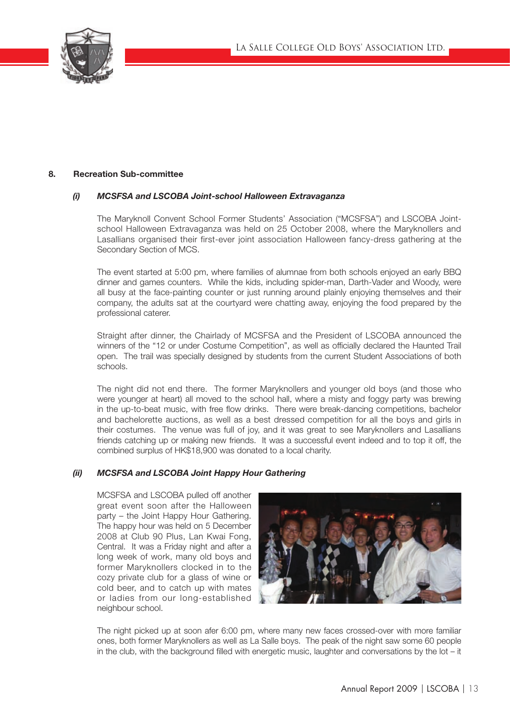

# 8. Recreation Sub-committee

# *(i) MCSFSA and LSCOBA Joint-school Halloween Extravaganza*

The Maryknoll Convent School Former Students' Association ("MCSFSA") and LSCOBA Jointschool Halloween Extravaganza was held on 25 October 2008, where the Maryknollers and Lasallians organised their first-ever joint association Halloween fancy-dress gathering at the Secondary Section of MCS.

The event started at 5:00 pm, where families of alumnae from both schools enjoyed an early BBQ dinner and games counters. While the kids, including spider-man, Darth-Vader and Woody, were all busy at the face-painting counter or just running around plainly enjoying themselves and their company, the adults sat at the courtyard were chatting away, enjoying the food prepared by the professional caterer.

Straight after dinner, the Chairlady of MCSFSA and the President of LSCOBA announced the winners of the "12 or under Costume Competition", as well as officially declared the Haunted Trail open. The trail was specially designed by students from the current Student Associations of both schools.

The night did not end there. The former Maryknollers and younger old boys (and those who were younger at heart) all moved to the school hall, where a misty and foggy party was brewing in the up-to-beat music, with free flow drinks. There were break-dancing competitions, bachelor and bachelorette auctions, as well as a best dressed competition for all the boys and girls in their costumes. The venue was full of joy, and it was great to see Maryknollers and Lasallians friends catching up or making new friends. It was a successful event indeed and to top it off, the combined surplus of HK\$18,900 was donated to a local charity.

# *(ii) MCSFSA and LSCOBA Joint Happy Hour Gathering*

MCSFSA and LSCOBA pulled off another great event soon after the Halloween party – the Joint Happy Hour Gathering. The happy hour was held on 5 December 2008 at Club 90 Plus, Lan Kwai Fong, Central. It was a Friday night and after a long week of work, many old boys and former Maryknollers clocked in to the cozy private club for a glass of wine or cold beer, and to catch up with mates or ladies from our long-established neighbour school.



The night picked up at soon afer 6:00 pm, where many new faces crossed-over with more familiar ones, both former Maryknollers as well as La Salle boys. The peak of the night saw some 60 people in the club, with the background filled with energetic music, laughter and conversations by the lot – it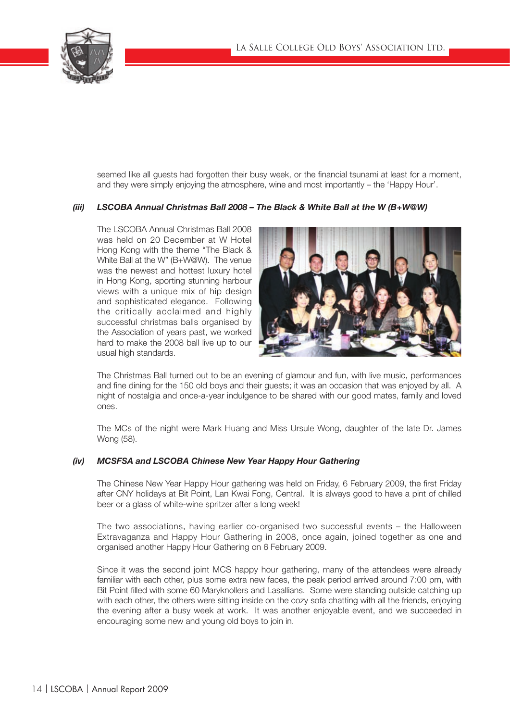

seemed like all quests had forgotten their busy week, or the financial tsunami at least for a moment, and they were simply enjoying the atmosphere, wine and most importantly – the 'Happy Hour'.

# *(iii) LSCOBA Annual Christmas Ball 2008 – The Black & White Ball at the W (B+W@W)*

The LSCOBA Annual Christmas Ball 2008 was held on 20 December at W Hotel Hong Kong with the theme "The Black & White Ball at the W" (B+W@W). The venue was the newest and hottest luxury hotel in Hong Kong, sporting stunning harbour views with a unique mix of hip design and sophisticated elegance. Following the critically acclaimed and highly successful christmas balls organised by the Association of years past, we worked hard to make the 2008 ball live up to our usual high standards.



The Christmas Ball turned out to be an evening of glamour and fun, with live music, performances and fine dining for the 150 old boys and their guests; it was an occasion that was enjoyed by all. A night of nostalgia and once-a-year indulgence to be shared with our good mates, family and loved ones.

The MCs of the night were Mark Huang and Miss Ursule Wong, daughter of the late Dr. James Wong (58).

# *(iv) MCSFSA and LSCOBA Chinese New Year Happy Hour Gathering*

The Chinese New Year Happy Hour gathering was held on Friday, 6 February 2009, the first Friday after CNY holidays at Bit Point, Lan Kwai Fong, Central. It is always good to have a pint of chilled beer or a glass of white-wine spritzer after a long week!

The two associations, having earlier co-organised two successful events – the Halloween Extravaganza and Happy Hour Gathering in 2008, once again, joined together as one and organised another Happy Hour Gathering on 6 February 2009.

Since it was the second joint MCS happy hour gathering, many of the attendees were already familiar with each other, plus some extra new faces, the peak period arrived around 7:00 pm, with Bit Point filled with some 60 Maryknollers and Lasallians. Some were standing outside catching up with each other, the others were sitting inside on the cozy sofa chatting with all the friends, enjoying the evening after a busy week at work. It was another enjoyable event, and we succeeded in encouraging some new and young old boys to join in.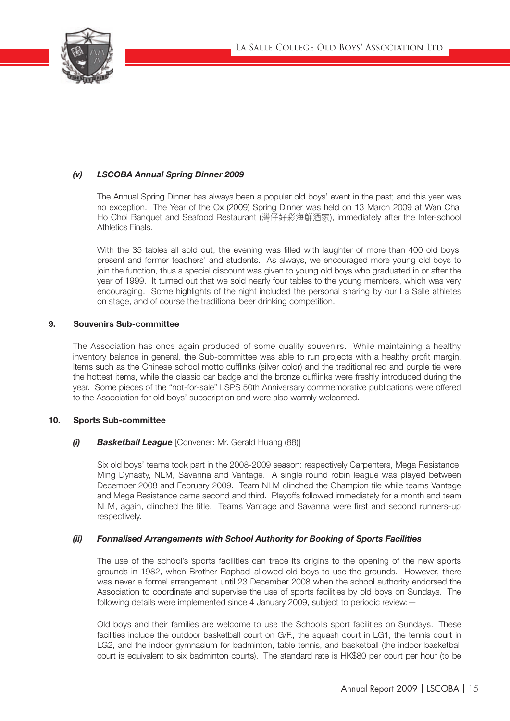

# *(v) LSCOBA Annual Spring Dinner 2009*

The Annual Spring Dinner has always been a popular old boys' event in the past; and this year was no exception. The Year of the Ox (2009) Spring Dinner was held on 13 March 2009 at Wan Chai Ho Choi Banquet and Seafood Restaurant (灣仔好彩海鮮酒家), immediately after the Inter-school Athletics Finals.

With the 35 tables all sold out, the evening was filled with laughter of more than 400 old boys, present and former teachers' and students. As always, we encouraged more young old boys to join the function, thus a special discount was given to young old boys who graduated in or after the year of 1999. It turned out that we sold nearly four tables to the young members, which was very encouraging. Some highlights of the night included the personal sharing by our La Salle athletes on stage, and of course the traditional beer drinking competition.

# 9. Souvenirs Sub-committee

The Association has once again produced of some quality souvenirs. While maintaining a healthy inventory balance in general, the Sub-committee was able to run projects with a healthy profit margin. Items such as the Chinese school motto cufflinks (silver color) and the traditional red and purple tie were the hottest items, while the classic car badge and the bronze cufflinks were freshly introduced during the year. Some pieces of the "not-for-sale" LSPS 50th Anniversary commemorative publications were offered to the Association for old boys' subscription and were also warmly welcomed.

# 10. Sports Sub-committee

# *(i) Basketball League* [Convener: Mr. Gerald Huang (88)]

Six old boys' teams took part in the 2008-2009 season: respectively Carpenters, Mega Resistance, Ming Dynasty, NLM, Savanna and Vantage. A single round robin league was played between December 2008 and February 2009. Team NLM clinched the Champion tile while teams Vantage and Mega Resistance came second and third. Playoffs followed immediately for a month and team NLM, again, clinched the title. Teams Vantage and Savanna were first and second runners-up respectively.

# *(ii) Formalised Arrangements with School Authority for Booking of Sports Facilities*

The use of the school's sports facilities can trace its origins to the opening of the new sports grounds in 1982, when Brother Raphael allowed old boys to use the grounds. However, there was never a formal arrangement until 23 December 2008 when the school authority endorsed the Association to coordinate and supervise the use of sports facilities by old boys on Sundays. The following details were implemented since 4 January 2009, subject to periodic review:—

Old boys and their families are welcome to use the School's sport facilities on Sundays. These facilities include the outdoor basketball court on G/F., the squash court in LG1, the tennis court in LG2, and the indoor gymnasium for badminton, table tennis, and basketball (the indoor basketball court is equivalent to six badminton courts). The standard rate is HK\$80 per court per hour (to be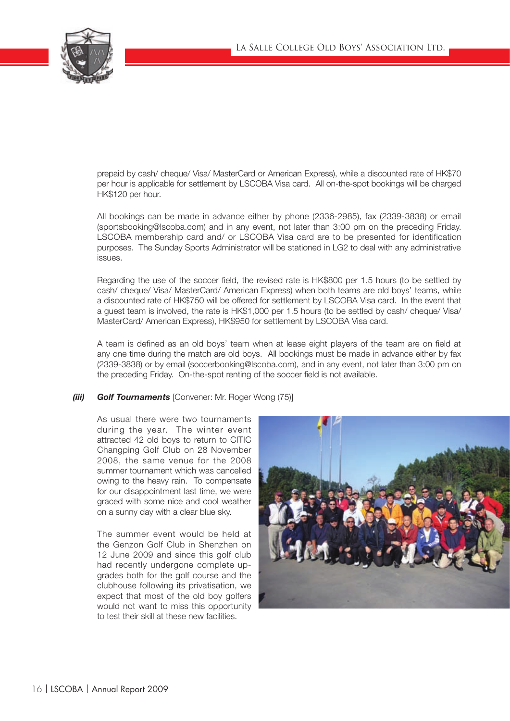

prepaid by cash/ cheque/ Visa/ MasterCard or American Express), while a discounted rate of HK\$70 per hour is applicable for settlement by LSCOBA Visa card. All on-the-spot bookings will be charged HK\$120 per hour.

All bookings can be made in advance either by phone (2336-2985), fax (2339-3838) or email (sportsbooking@lscoba.com) and in any event, not later than 3:00 pm on the preceding Friday. LSCOBA membership card and/ or LSCOBA Visa card are to be presented for identification purposes. The Sunday Sports Administrator will be stationed in LG2 to deal with any administrative issues.

Regarding the use of the soccer field, the revised rate is HK\$800 per 1.5 hours (to be settled by cash/ cheque/ Visa/ MasterCard/ American Express) when both teams are old boys' teams, while a discounted rate of HK\$750 will be offered for settlement by LSCOBA Visa card. In the event that a guest team is involved, the rate is HK\$1,000 per 1.5 hours (to be settled by cash/ cheque/ Visa/ MasterCard/ American Express), HK\$950 for settlement by LSCOBA Visa card.

A team is defined as an old boys' team when at lease eight players of the team are on field at any one time during the match are old boys. All bookings must be made in advance either by fax (2339-3838) or by email (soccerbooking@lscoba.com), and in any event, not later than 3:00 pm on the preceding Friday. On-the-spot renting of the soccer field is not available.

# *(iii) Golf Tournaments* [Convener: Mr. Roger Wong (75)]

As usual there were two tournaments during the year. The winter event attracted 42 old boys to return to CITIC Changping Golf Club on 28 November 2008, the same venue for the 2008 summer tournament which was cancelled owing to the heavy rain. To compensate for our disappointment last time, we were graced with some nice and cool weather on a sunny day with a clear blue sky.

The summer event would be held at the Genzon Golf Club in Shenzhen on 12 June 2009 and since this golf club had recently undergone complete upgrades both for the golf course and the clubhouse following its privatisation, we expect that most of the old boy golfers would not want to miss this opportunity to test their skill at these new facilities.

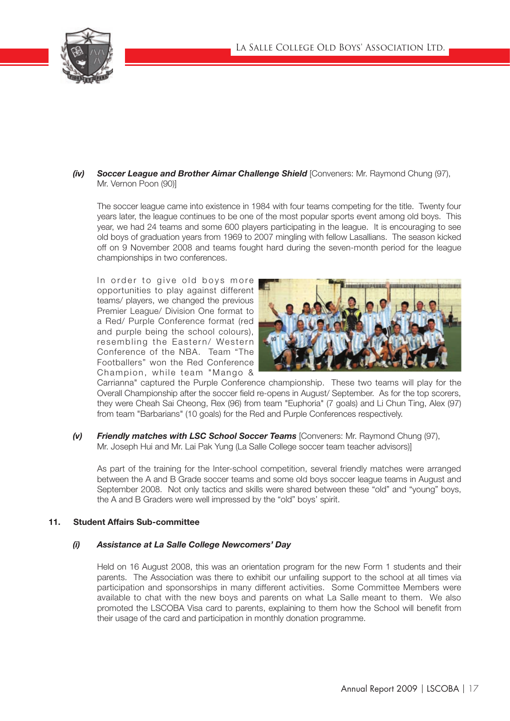

# *(iv) Soccer League and Brother Aimar Challenge Shield* [Conveners: Mr. Raymond Chung (97), Mr. Vernon Poon (90)]

The soccer league came into existence in 1984 with four teams competing for the title. Twenty four years later, the league continues to be one of the most popular sports event among old boys. This year, we had 24 teams and some 600 players participating in the league. It is encouraging to see old boys of graduation years from 1969 to 2007 mingling with fellow Lasallians. The season kicked off on 9 November 2008 and teams fought hard during the seven-month period for the league championships in two conferences.

In order to give old boys more opportunities to play against different teams/ players, we changed the previous Premier League/ Division One format to a Red/ Purple Conference format (red and purple being the school colours), resembling the Eastern/ Western Conference of the NBA. Team "The Footballers" won the Red Conference Champion, while team "Mango &



Carrianna" captured the Purple Conference championship. These two teams will play for the Overall Championship after the soccer field re-opens in August/ September. As for the top scorers, they were Cheah Sai Cheong, Rex (96) from team "Euphoria" (7 goals) and Li Chun Ting, Alex (97) from team "Barbarians" (10 goals) for the Red and Purple Conferences respectively.

*(v) Friendly matches with LSC School Soccer Teams* [Conveners: Mr. Raymond Chung (97), Mr. Joseph Hui and Mr. Lai Pak Yung (La Salle College soccer team teacher advisors)]

As part of the training for the Inter-school competition, several friendly matches were arranged between the A and B Grade soccer teams and some old boys soccer league teams in August and September 2008. Not only tactics and skills were shared between these "old" and "young" boys, the A and B Graders were well impressed by the "old" boys' spirit.

# 11. Student Affairs Sub-committee

# *(i) Assistance at La Salle College Newcomers' Day*

Held on 16 August 2008, this was an orientation program for the new Form 1 students and their parents. The Association was there to exhibit our unfailing support to the school at all times via participation and sponsorships in many different activities. Some Committee Members were available to chat with the new boys and parents on what La Salle meant to them. We also promoted the LSCOBA Visa card to parents, explaining to them how the School will benefit from their usage of the card and participation in monthly donation programme.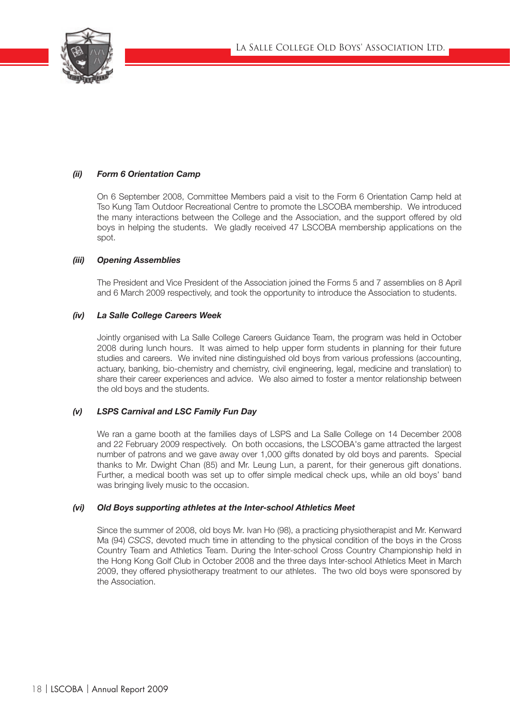

# *(ii) Form 6 Orientation Camp*

On 6 September 2008, Committee Members paid a visit to the Form 6 Orientation Camp held at Tso Kung Tam Outdoor Recreational Centre to promote the LSCOBA membership. We introduced the many interactions between the College and the Association, and the support offered by old boys in helping the students. We gladly received 47 LSCOBA membership applications on the spot.

# *(iii) Opening Assemblies*

The President and Vice President of the Association joined the Forms 5 and 7 assemblies on 8 April and 6 March 2009 respectively, and took the opportunity to introduce the Association to students.

## *(iv) La Salle College Careers Week*

Jointly organised with La Salle College Careers Guidance Team, the program was held in October 2008 during lunch hours. It was aimed to help upper form students in planning for their future studies and careers. We invited nine distinguished old boys from various professions (accounting, actuary, banking, bio-chemistry and chemistry, civil engineering, legal, medicine and translation) to share their career experiences and advice. We also aimed to foster a mentor relationship between the old boys and the students.

# *(v) LSPS Carnival and LSC Family Fun Day*

We ran a game booth at the families days of LSPS and La Salle College on 14 December 2008 and 22 February 2009 respectively. On both occasions, the LSCOBA's game attracted the largest number of patrons and we gave away over 1,000 gifts donated by old boys and parents. Special thanks to Mr. Dwight Chan (85) and Mr. Leung Lun, a parent, for their generous gift donations. Further, a medical booth was set up to offer simple medical check ups, while an old boys' band was bringing lively music to the occasion.

#### *(vi) Old Boys supporting athletes at the Inter-school Athletics Meet*

Since the summer of 2008, old boys Mr. Ivan Ho (98), a practicing physiotherapist and Mr. Kenward Ma (94) *CSCS*, devoted much time in attending to the physical condition of the boys in the Cross Country Team and Athletics Team. During the Inter-school Cross Country Championship held in the Hong Kong Golf Club in October 2008 and the three days Inter-school Athletics Meet in March 2009, they offered physiotherapy treatment to our athletes. The two old boys were sponsored by the Association.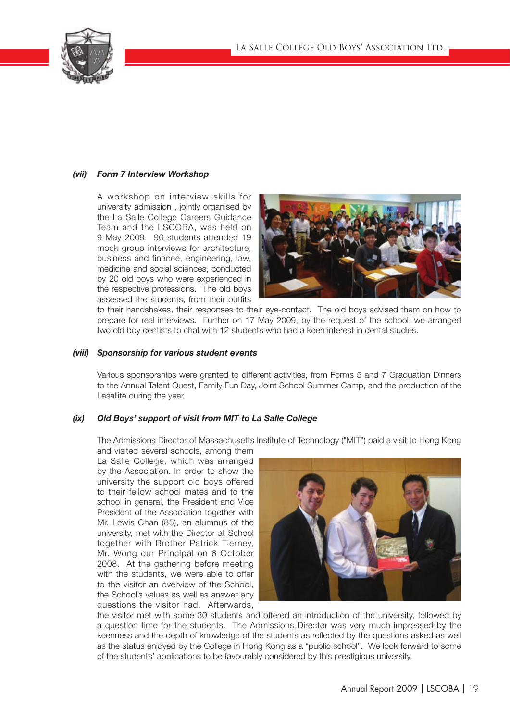

# *(vii) Form 7 Interview Workshop*

A workshop on interview skills for university admission , jointly organised by the La Salle College Careers Guidance Team and the LSCOBA, was held on 9 May 2009. 90 students attended 19 mock group interviews for architecture, business and finance, engineering, law, medicine and social sciences, conducted by 20 old boys who were experienced in the respective professions. The old boys assessed the students, from their outfits



to their handshakes, their responses to their eye-contact. The old boys advised them on how to prepare for real interviews. Further on 17 May 2009, by the request of the school, we arranged two old boy dentists to chat with 12 students who had a keen interest in dental studies.

#### *(viii) Sponsorship for various student events*

Various sponsorships were granted to different activities, from Forms 5 and 7 Graduation Dinners to the Annual Talent Quest, Family Fun Day, Joint School Summer Camp, and the production of the Lasallite during the year.

# *(ix) Old Boys' support of visit from MIT to La Salle College*

The Admissions Director of Massachusetts Institute of Technology ("MIT") paid a visit to Hong Kong

and visited several schools, among them La Salle College, which was arranged by the Association. In order to show the university the support old boys offered to their fellow school mates and to the school in general, the President and Vice President of the Association together with Mr. Lewis Chan (85), an alumnus of the university, met with the Director at School together with Brother Patrick Tierney, Mr. Wong our Principal on 6 October 2008. At the gathering before meeting with the students, we were able to offer to the visitor an overview of the School, the School's values as well as answer any questions the visitor had. Afterwards,



the visitor met with some 30 students and offered an introduction of the university, followed by a question time for the students. The Admissions Director was very much impressed by the keenness and the depth of knowledge of the students as reflected by the questions asked as well as the status enjoyed by the College in Hong Kong as a "public school". We look forward to some of the students' applications to be favourably considered by this prestigious university.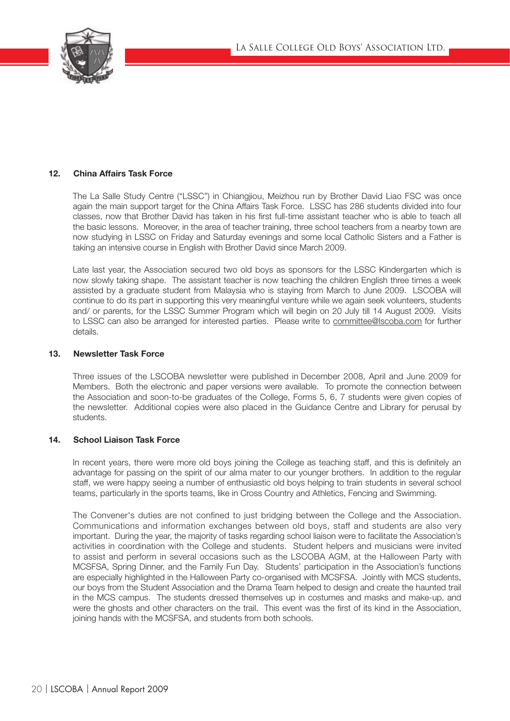

# 12. China Affairs Task Force

The La Salle Study Centre ("LSSC") in Chiangjiou, Meizhou run by Brother David Liao FSC was once again the main support target for the China Affairs Task Force. LSSC has 286 students divided into four classes, now that Brother David has taken in his first full-time assistant teacher who is able to teach all the basic lessons. Moreover, in the area of teacher training, three school teachers from a nearby town are now studying in LSSC on Friday and Saturday evenings and some local Catholic Sisters and a Father is taking an intensive course in English with Brother David since March 2009.

Late last year, the Association secured two old boys as sponsors for the LSSC Kindergarten which is now slowly taking shape. The assistant teacher is now teaching the children English three times a week assisted by a graduate student from Malaysia who is staying from March to June 2009. LSCOBA will continue to do its part in supporting this very meaningful venture while we again seek volunteers, students and/ or parents, for the LSSC Summer Program which will begin on 20 July till 14 August 2009. Visits to LSSC can also be arranged for interested parties. Please write to committee@lscoba.com for further details.

## 13. Newsletter Task Force

Three issues of the LSCOBA newsletter were published in December 2008, April and June 2009 for Members. Both the electronic and paper versions were available. To promote the connection between the Association and soon-to-be graduates of the College, Forms 5, 6, 7 students were given copies of the newsletter. Additional copies were also placed in the Guidance Centre and Library for perusal by students.

# 14. School Liaison Task Force

In recent years, there were more old boys joining the College as teaching staff, and this is definitely an advantage for passing on the spirit of our alma mater to our younger brothers. In addition to the regular staff, we were happy seeing a number of enthusiastic old boys helping to train students in several school teams, particularly in the sports teams, like in Cross Country and Athletics, Fencing and Swimming.

The Convener's duties are not confined to just bridging between the College and the Association. Communications and information exchanges between old boys, staff and students are also very important. During the year, the majority of tasks regarding school liaison were to facilitate the Association's activities in coordination with the College and students. Student helpers and musicians were invited to assist and perform in several occasions such as the LSCOBA AGM, at the Halloween Party with MCSFSA, Spring Dinner, and the Family Fun Day. Students' participation in the Association's functions are especially highlighted in the Halloween Party co-organised with MCSFSA. Jointly with MCS students, our boys from the Student Association and the Drama Team helped to design and create the haunted trail in the MCS campus. The students dressed themselves up in costumes and masks and make-up, and were the ghosts and other characters on the trail. This event was the first of its kind in the Association, joining hands with the MCSFSA, and students from both schools.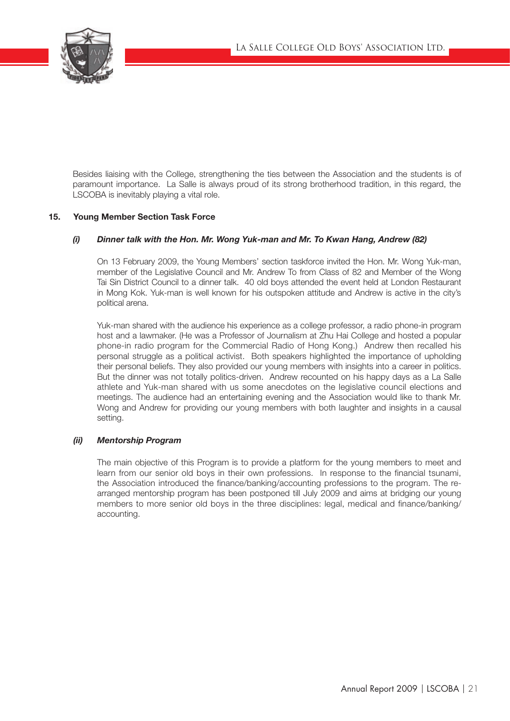

Besides liaising with the College, strengthening the ties between the Association and the students is of paramount importance. La Salle is always proud of its strong brotherhood tradition, in this regard, the LSCOBA is inevitably playing a vital role.

# 15. Young Member Section Task Force

# *(i) Dinner talk with the Hon. Mr. Wong Yuk-man and Mr. To Kwan Hang, Andrew (82)*

On 13 February 2009, the Young Members' section taskforce invited the Hon. Mr. Wong Yuk-man, member of the Legislative Council and Mr. Andrew To from Class of 82 and Member of the Wong Tai Sin District Council to a dinner talk. 40 old boys attended the event held at London Restaurant in Mong Kok. Yuk-man is well known for his outspoken attitude and Andrew is active in the city's political arena.

Yuk-man shared with the audience his experience as a college professor, a radio phone-in program host and a lawmaker. (He was a Professor of Journalism at Zhu Hai College and hosted a popular phone-in radio program for the Commercial Radio of Hong Kong.) Andrew then recalled his personal struggle as a political activist. Both speakers highlighted the importance of upholding their personal beliefs. They also provided our young members with insights into a career in politics. But the dinner was not totally politics-driven. Andrew recounted on his happy days as a La Salle athlete and Yuk-man shared with us some anecdotes on the legislative council elections and meetings. The audience had an entertaining evening and the Association would like to thank Mr. Wong and Andrew for providing our young members with both laughter and insights in a causal setting.

# *(ii) Mentorship Program*

The main objective of this Program is to provide a platform for the young members to meet and learn from our senior old boys in their own professions. In response to the financial tsunami, the Association introduced the finance/banking/accounting professions to the program. The rearranged mentorship program has been postponed till July 2009 and aims at bridging our young members to more senior old boys in the three disciplines: legal, medical and finance/banking/ accounting.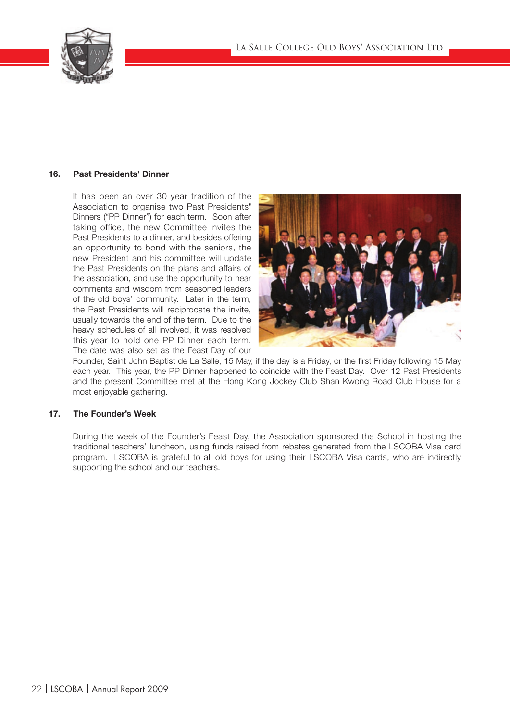

# 16. Past Presidents' Dinner

It has been an over 30 year tradition of the Association to organise two Past Presidents' Dinners ("PP Dinner") for each term. Soon after taking office, the new Committee invites the Past Presidents to a dinner, and besides offering an opportunity to bond with the seniors, the new President and his committee will update the Past Presidents on the plans and affairs of the association, and use the opportunity to hear comments and wisdom from seasoned leaders of the old boys' community. Later in the term, the Past Presidents will reciprocate the invite, usually towards the end of the term. Due to the heavy schedules of all involved, it was resolved this year to hold one PP Dinner each term. The date was also set as the Feast Day of our



Founder, Saint John Baptist de La Salle, 15 May, if the day is a Friday, or the first Friday following 15 May each year. This year, the PP Dinner happened to coincide with the Feast Day. Over 12 Past Presidents and the present Committee met at the Hong Kong Jockey Club Shan Kwong Road Club House for a most enjoyable gathering.

# 17. The Founder's Week

During the week of the Founder's Feast Day, the Association sponsored the School in hosting the traditional teachers' luncheon, using funds raised from rebates generated from the LSCOBA Visa card program. LSCOBA is grateful to all old boys for using their LSCOBA Visa cards, who are indirectly supporting the school and our teachers.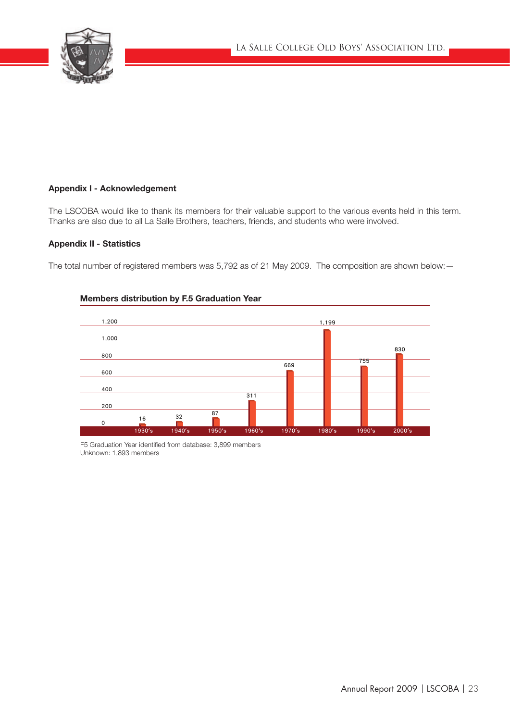

# Appendix I - Acknowledgement

The LSCOBA would like to thank its members for their valuable support to the various events held in this term. Thanks are also due to all La Salle Brothers, teachers, friends, and students who were involved.

# Appendix II - Statistics

The total number of registered members was 5,792 as of 21 May 2009. The composition are shown below: —



# Members distribution by F.5 Graduation Year

F5 Graduation Year identified from database: 3,899 members Unknown: 1,893 members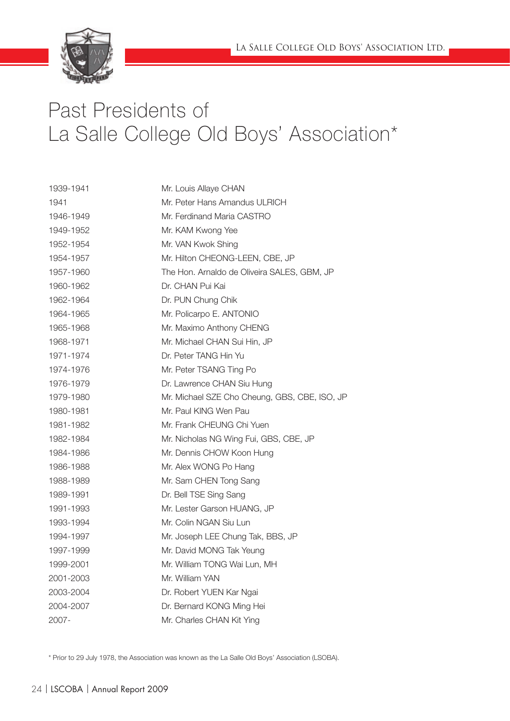

# Past Presidents of La Salle College Old Boys' Association\*

| 1939-1941 | Mr. Louis Allaye CHAN                         |
|-----------|-----------------------------------------------|
| 1941      | Mr. Peter Hans Amandus ULRICH                 |
| 1946-1949 | Mr. Ferdinand Maria CASTRO                    |
| 1949-1952 | Mr. KAM Kwong Yee                             |
| 1952-1954 | Mr. VAN Kwok Shing                            |
| 1954-1957 | Mr. Hilton CHEONG-LEEN, CBE, JP               |
| 1957-1960 | The Hon. Arnaldo de Oliveira SALES, GBM, JP   |
| 1960-1962 | Dr. CHAN Pui Kai                              |
| 1962-1964 | Dr. PUN Chung Chik                            |
| 1964-1965 | Mr. Policarpo E. ANTONIO                      |
| 1965-1968 | Mr. Maximo Anthony CHENG                      |
| 1968-1971 | Mr. Michael CHAN Sui Hin, JP                  |
| 1971-1974 | Dr. Peter TANG Hin Yu                         |
| 1974-1976 | Mr. Peter TSANG Ting Po                       |
| 1976-1979 | Dr. Lawrence CHAN Siu Hung                    |
| 1979-1980 | Mr. Michael SZE Cho Cheung, GBS, CBE, ISO, JP |
| 1980-1981 | Mr. Paul KING Wen Pau                         |
| 1981-1982 | Mr. Frank CHEUNG Chi Yuen                     |
| 1982-1984 | Mr. Nicholas NG Wing Fui, GBS, CBE, JP        |
| 1984-1986 | Mr. Dennis CHOW Koon Hung                     |
| 1986-1988 | Mr. Alex WONG Po Hang                         |
| 1988-1989 | Mr. Sam CHEN Tong Sang                        |
| 1989-1991 | Dr. Bell TSE Sing Sang                        |
| 1991-1993 | Mr. Lester Garson HUANG, JP                   |
| 1993-1994 | Mr. Colin NGAN Siu Lun                        |
| 1994-1997 | Mr. Joseph LEE Chung Tak, BBS, JP             |
| 1997-1999 | Mr. David MONG Tak Yeung                      |
| 1999-2001 | Mr. William TONG Wai Lun, MH                  |
| 2001-2003 | Mr. William YAN                               |
| 2003-2004 | Dr. Robert YUEN Kar Ngai                      |
| 2004-2007 | Dr. Bernard KONG Ming Hei                     |
| 2007-     | Mr. Charles CHAN Kit Ying                     |

\* Prior to 29 July 1978, the Association was known as the La Salle Old Boys' Association (LSOBA).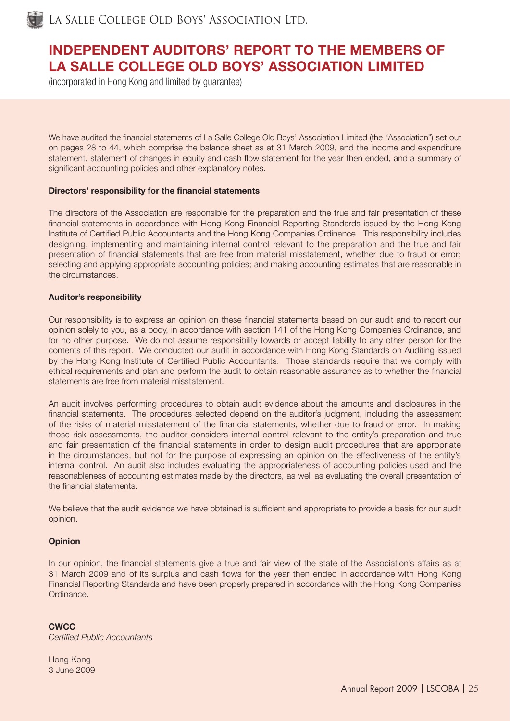

La Salle College Old Boys' Association Ltd.

# INDEPENDENT AUDITORS' REPORT TO THE MEMBERS OF LA SALLE COLLEGE OLD BOYS' ASSOCIATION LIMITED

(incorporated in Hong Kong and limited by guarantee)

We have audited the financial statements of La Salle College Old Boys' Association Limited (the "Association") set out on pages 28 to 44, which comprise the balance sheet as at 31 March 2009, and the income and expenditure statement, statement of changes in equity and cash flow statement for the year then ended, and a summary of significant accounting policies and other explanatory notes.

## Directors' responsibility for the financial statements

The directors of the Association are responsible for the preparation and the true and fair presentation of these financial statements in accordance with Hong Kong Financial Reporting Standards issued by the Hong Kong Institute of Certified Public Accountants and the Hong Kong Companies Ordinance. This responsibility includes designing, implementing and maintaining internal control relevant to the preparation and the true and fair presentation of financial statements that are free from material misstatement, whether due to fraud or error; selecting and applying appropriate accounting policies; and making accounting estimates that are reasonable in the circumstances.

#### Auditor's responsibility

Our responsibility is to express an opinion on these financial statements based on our audit and to report our opinion solely to you, as a body, in accordance with section 141 of the Hong Kong Companies Ordinance, and for no other purpose. We do not assume responsibility towards or accept liability to any other person for the contents of this report. We conducted our audit in accordance with Hong Kong Standards on Auditing issued by the Hong Kong Institute of Certified Public Accountants. Those standards require that we comply with ethical requirements and plan and perform the audit to obtain reasonable assurance as to whether the financial statements are free from material misstatement.

An audit involves performing procedures to obtain audit evidence about the amounts and disclosures in the financial statements. The procedures selected depend on the auditor's judgment, including the assessment of the risks of material misstatement of the financial statements, whether due to fraud or error. In making those risk assessments, the auditor considers internal control relevant to the entity's preparation and true and fair presentation of the financial statements in order to design audit procedures that are appropriate in the circumstances, but not for the purpose of expressing an opinion on the effectiveness of the entity's internal control. An audit also includes evaluating the appropriateness of accounting policies used and the reasonableness of accounting estimates made by the directors, as well as evaluating the overall presentation of the financial statements

We believe that the audit evidence we have obtained is sufficient and appropriate to provide a basis for our audit opinion.

#### **Opinion**

In our opinion, the financial statements give a true and fair view of the state of the Association's affairs as at 31 March 2009 and of its surplus and cash flows for the year then ended in accordance with Hong Kong Financial Reporting Standards and have been properly prepared in accordance with the Hong Kong Companies Ordinance.

**CWCC Certified Public Accountants** 

Hong Kong 3 June 2009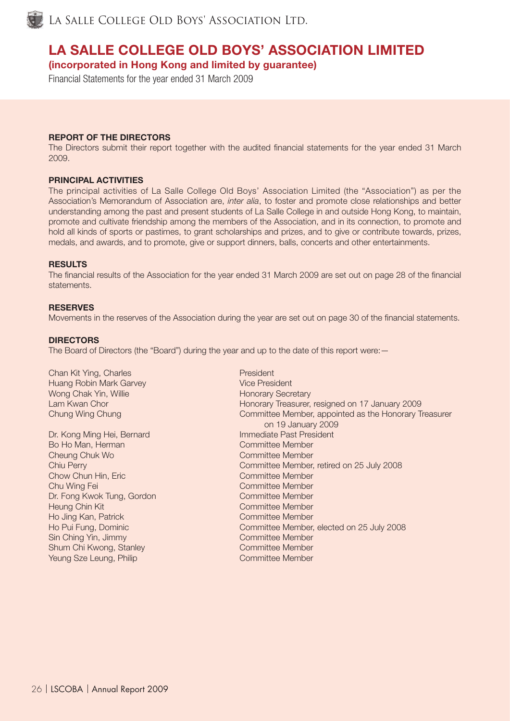

LA SALLE COLLEGE OLD BOYS' ASSOCIATION LTD.

# LA SALLE COLLEGE OLD BOYS' ASSOCIATION LIMITED

(incorporated in Hong Kong and limited by guarantee)

Financial Statements for the year ended 31 March 2009

# REPORT OF THE DIRECTORS

The Directors submit their report together with the audited financial statements for the year ended 31 March 2009.

# PRINCIPAL ACTIVITIES

The principal activities of La Salle College Old Boys' Association Limited (the "Association") as per the Association's Memorandum of Association are, *inter alia*, to foster and promote close relationships and better understanding among the past and present students of La Salle College in and outside Hong Kong, to maintain, promote and cultivate friendship among the members of the Association, and in its connection, to promote and hold all kinds of sports or pastimes, to grant scholarships and prizes, and to give or contribute towards, prizes, medals, and awards, and to promote, give or support dinners, balls, concerts and other entertainments.

## **RESULTS**

The financial results of the Association for the year ended 31 March 2009 are set out on page 28 of the financial statements.

#### **RESERVES**

Movements in the reserves of the Association during the year are set out on page 30 of the financial statements.

## **DIRECTORS**

The Board of Directors (the "Board") during the year and up to the date of this report were: -

Chan Kit Ying, Charles **President** President Huang Robin Mark Garvey **Vice President** Wong Chak Yin, Willie **Honorary Secretary** 

Dr. Kong Ming Hei, Bernard Immediate Past President Bo Ho Man, Herman Committee Member Cheung Chuk Wo Committee Member Chow Chun Hin, Eric Committee Member Chu Wing Fei Committee Member Dr. Fong Kwok Tung, Gordon Committee Member Heung Chin Kit Committee Member Ho Jing Kan, Patrick Committee Member Sin Ching Yin, Jimmy Committee Member Shum Chi Kwong, Stanley Committee Member **Yeung Sze Leung, Philip Committee Member** 

Lam Kwan Chor **Honorary Treasurer, resigned on 17 January 2009** Chung Wing Chung Chung Chung Chung Committee Member, appointed as the Honorary Treasurer on 19 January 2009 Chiu Perry Committee Member, retired on 25 July 2008 Ho Pui Fung, Dominic Committee Member, elected on 25 July 2008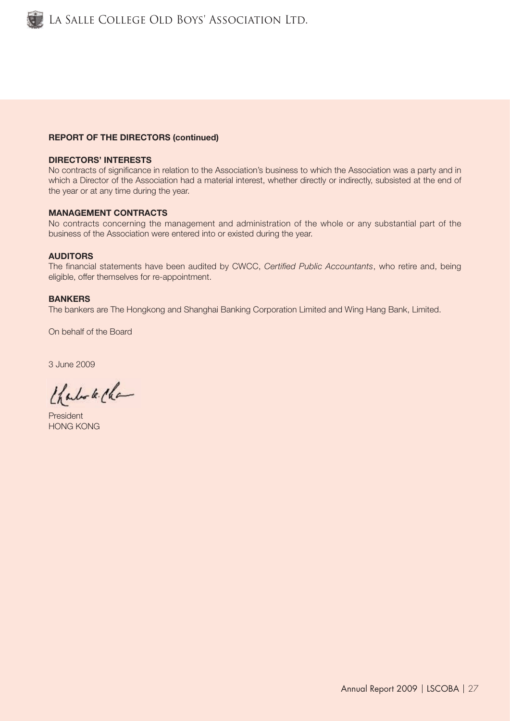

# REPORT OF THE DIRECTORS (continued)

## DIRECTORS' INTERESTS

No contracts of significance in relation to the Association's business to which the Association was a party and in which a Director of the Association had a material interest, whether directly or indirectly, subsisted at the end of the year or at any time during the year.

#### MANAGEMENT CONTRACTS

No contracts concerning the management and administration of the whole or any substantial part of the business of the Association were entered into or existed during the year.

#### AUDITORS

The financial statements have been audited by CWCC, *Certified Public Accountants*, who retire and, being eligible, offer themselves for re-appointment.

#### BANKERS

The bankers are The Hongkong and Shanghai Banking Corporation Limited and Wing Hang Bank, Limited.

On behalf of the Board

3 June 2009

Charles k. Cha

President HONG KONG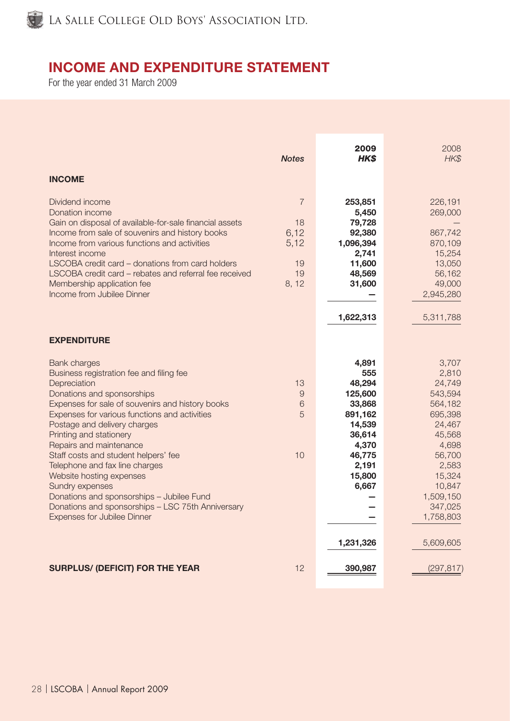

# INCOME AND EXPENDITURE STATEMENT

For the year ended 31 March 2009

|                                                                                                                                                                                                                                                                                                                                                                                                                                                                                                                                                                           | <b>Notes</b>                                              | 2009<br><b>HKS</b>                                                                                                                     | 2008<br>HK\$                                                                                                                                                                    |
|---------------------------------------------------------------------------------------------------------------------------------------------------------------------------------------------------------------------------------------------------------------------------------------------------------------------------------------------------------------------------------------------------------------------------------------------------------------------------------------------------------------------------------------------------------------------------|-----------------------------------------------------------|----------------------------------------------------------------------------------------------------------------------------------------|---------------------------------------------------------------------------------------------------------------------------------------------------------------------------------|
| <b>INCOME</b>                                                                                                                                                                                                                                                                                                                                                                                                                                                                                                                                                             |                                                           |                                                                                                                                        |                                                                                                                                                                                 |
| Dividend income<br>Donation income<br>Gain on disposal of available-for-sale financial assets<br>Income from sale of souvenirs and history books<br>Income from various functions and activities<br>Interest income<br>LSCOBA credit card - donations from card holders<br>LSCOBA credit card - rebates and referral fee received<br>Membership application fee<br>Income from Jubilee Dinner                                                                                                                                                                             | $\overline{7}$<br>18<br>6,12<br>5,12<br>19<br>19<br>8, 12 | 253,851<br>5,450<br>79,728<br>92,380<br>1,096,394<br>2,741<br>11,600<br>48,569<br>31,600<br>1,622,313                                  | 226,191<br>269,000<br>867,742<br>870,109<br>15,254<br>13,050<br>56,162<br>49,000<br>2,945,280<br>5,311,788                                                                      |
| <b>EXPENDITURE</b>                                                                                                                                                                                                                                                                                                                                                                                                                                                                                                                                                        |                                                           |                                                                                                                                        |                                                                                                                                                                                 |
| <b>Bank charges</b><br>Business registration fee and filing fee<br>Depreciation<br>Donations and sponsorships<br>Expenses for sale of souvenirs and history books<br>Expenses for various functions and activities<br>Postage and delivery charges<br>Printing and stationery<br>Repairs and maintenance<br>Staff costs and student helpers' fee<br>Telephone and fax line charges<br>Website hosting expenses<br>Sundry expenses<br>Donations and sponsorships - Jubilee Fund<br>Donations and sponsorships - LSC 75th Anniversary<br><b>Expenses for Jubilee Dinner</b> | 13<br>$\Theta$<br>6<br>5<br>10                            | 4,891<br>555<br>48,294<br>125,600<br>33,868<br>891,162<br>14,539<br>36,614<br>4,370<br>46,775<br>2,191<br>15,800<br>6,667<br>1,231,326 | 3,707<br>2,810<br>24,749<br>543,594<br>564,182<br>695,398<br>24,467<br>45,568<br>4,698<br>56,700<br>2,583<br>15,324<br>10,847<br>1,509,150<br>347,025<br>1,758,803<br>5,609,605 |
| <b>SURPLUS/ (DEFICIT) FOR THE YEAR</b>                                                                                                                                                                                                                                                                                                                                                                                                                                                                                                                                    | 12                                                        | 390,987                                                                                                                                | (297, 817)                                                                                                                                                                      |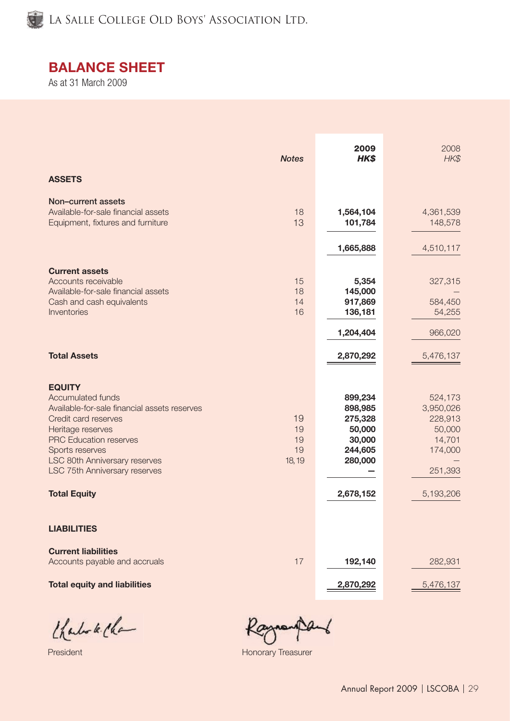

# BALANCE SHEET

As at 31 March 2009

|                                                                                                                                                                                                                                                                                                   | <b>Notes</b>                   | 2009<br>HK\$                                                                         | 2008<br>HK\$                                                                           |
|---------------------------------------------------------------------------------------------------------------------------------------------------------------------------------------------------------------------------------------------------------------------------------------------------|--------------------------------|--------------------------------------------------------------------------------------|----------------------------------------------------------------------------------------|
| <b>ASSETS</b>                                                                                                                                                                                                                                                                                     |                                |                                                                                      |                                                                                        |
| Non-current assets<br>Available-for-sale financial assets<br>Equipment, fixtures and furniture                                                                                                                                                                                                    | 18<br>13                       | 1,564,104<br>101,784<br>1,665,888                                                    | 4,361,539<br>148,578<br>4,510,117                                                      |
| <b>Current assets</b><br>Accounts receivable<br>Available-for-sale financial assets<br>Cash and cash equivalents<br>Inventories                                                                                                                                                                   | 15<br>18<br>14<br>16           | 5,354<br>145,000<br>917,869<br>136,181<br>1,204,404                                  | 327,315<br>584,450<br>54,255<br>966,020                                                |
| <b>Total Assets</b>                                                                                                                                                                                                                                                                               |                                | 2,870,292                                                                            | 5,476,137                                                                              |
| <b>EQUITY</b><br><b>Accumulated funds</b><br>Available-for-sale financial assets reserves<br>Credit card reserves<br>Heritage reserves<br><b>PRC Education reserves</b><br>Sports reserves<br><b>LSC 80th Anniversary reserves</b><br><b>LSC 75th Anniversary reserves</b><br><b>Total Equity</b> | 19<br>19<br>19<br>19<br>18, 19 | 899,234<br>898,985<br>275,328<br>50,000<br>30,000<br>244,605<br>280,000<br>2,678,152 | 524,173<br>3,950,026<br>228,913<br>50,000<br>14,701<br>174,000<br>251,393<br>5,193,206 |
| <b>LIABILITIES</b>                                                                                                                                                                                                                                                                                |                                |                                                                                      |                                                                                        |
| <b>Current liabilities</b><br>Accounts payable and accruals                                                                                                                                                                                                                                       | 17                             | 192,140                                                                              | 282,931                                                                                |
| <b>Total equity and liabilities</b>                                                                                                                                                                                                                                                               |                                | 2,870,292                                                                            | 5,476,137                                                                              |

Charles le Cha

Raymontant

President Honorary Treasurer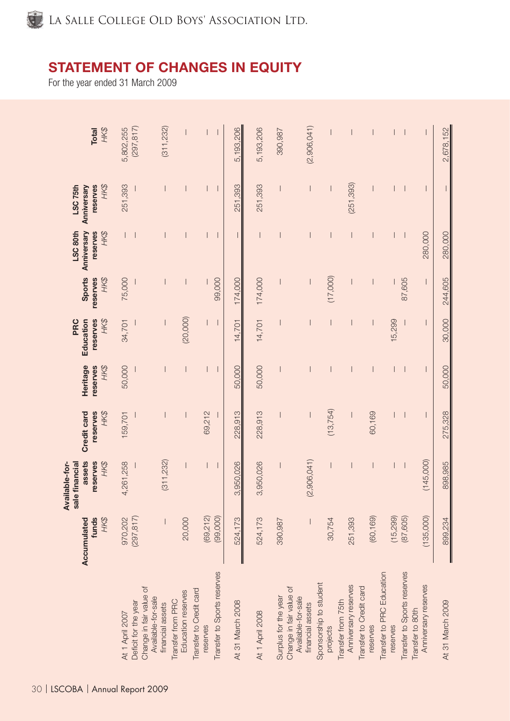

# STATEMENT OF CHANGES IN EQUITY

For the year ended 31 March 2009

| HK\$<br><b>Total</b>                                           | 5,802,255             | (297, 817)                                                            | (311, 232)                            | $\overline{\phantom{a}}$ |                                     |                             | 5,193,206        | 5,193,206              | 390,987                                         | (2,906,041)                            |                                    |                                            |                                     |                                       |                             |                                          | 2,678,152        |
|----------------------------------------------------------------|-----------------------|-----------------------------------------------------------------------|---------------------------------------|--------------------------|-------------------------------------|-----------------------------|------------------|------------------------|-------------------------------------------------|----------------------------------------|------------------------------------|--------------------------------------------|-------------------------------------|---------------------------------------|-----------------------------|------------------------------------------|------------------|
| HK\$<br>LSC <sub>75th</sub><br>reserves<br>Anniversary         | 251,393               |                                                                       |                                       |                          |                                     |                             | 251,393          | 251,393                |                                                 |                                        |                                    | (251, 393)                                 |                                     |                                       |                             |                                          |                  |
| LSC 80th<br>Anniversary<br>reserves<br>HK\$                    |                       |                                                                       |                                       |                          |                                     |                             |                  |                        |                                                 |                                        |                                    |                                            |                                     |                                       |                             | 280,000                                  | 280,000          |
| <b>Sports</b><br>HK\$<br>reserves                              | 75,000                |                                                                       |                                       |                          |                                     | 99,000                      | 174,000          | 174,000                |                                                 |                                        | (17,000)                           |                                            |                                     |                                       | 87,605                      | $\overline{\phantom{a}}$                 | 244,605          |
| HK\$<br>PRC<br>Education<br>reserves                           | 34,701                |                                                                       |                                       | (20,000)                 |                                     |                             | 14,701           | 14,701                 |                                                 |                                        |                                    |                                            |                                     | 15,299                                |                             |                                          | 30,000           |
| Heritage<br>reserves<br>HK\$                                   | 50,000                |                                                                       |                                       |                          |                                     |                             | 50,000           | 50,000                 |                                                 |                                        |                                    |                                            |                                     |                                       |                             |                                          | 50,000           |
| reserves<br>HK\$<br>Credit card                                | 159,701               |                                                                       |                                       |                          | 69,212                              |                             | 228,913          | 228,913                |                                                 |                                        | (13, 754)                          |                                            | 60,169                              |                                       |                             | $\overline{\phantom{a}}$                 | 275,328          |
| assets<br>Available-for-<br>reserves<br>sale financial<br>HK\$ | 4,261,258             |                                                                       | (311, 232)                            |                          |                                     |                             | 3,950,026        | 3,950,026              |                                                 | (2,906,041)                            |                                    |                                            |                                     |                                       |                             | (145,000)                                | 898,985          |
| HK\$<br>Accumulated<br>funds                                   | (297, 817)<br>970,202 |                                                                       |                                       | 20,000                   | (69,212)                            | (99,000)                    | 524,173          | 524,173                | 390,987                                         |                                        | 30,754                             | 251,393                                    | (60, 169)                           | (15, 299)                             | (87, 605)                   | (135,000)                                | 899,234          |
|                                                                | At 1 April 2007       | Change in fair value of<br>Available-for-sale<br>Deficit for the year | Transfer from PRC<br>financial assets | Education reserves       | Transfer to Credit card<br>reserves | Transfer to Sports reserves | At 31 March 2008 | <b>At 1 April 2008</b> | Change in fair value of<br>Surplus for the year | Available-for-sale<br>financial assets | Sponsorship to student<br>projects | Anniversary reserves<br>Transfer from 75th | Transfer to Credit card<br>reserves | Transfer to PRC Education<br>reserves | Transfer to Sports reserves | Anniversary reserves<br>Transfer to 80th | At 31 March 2009 |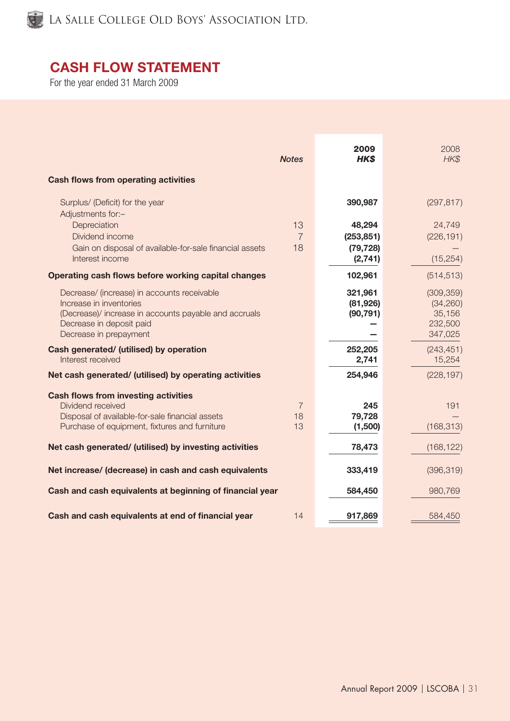

# CASH FLOW STATEMENT

For the year ended 31 March 2009

| <b>Cash flows from operating activities</b>                                                                                                                                           | <b>Notes</b>               | 2009<br><b>HKS</b>                           | 2008<br>HK\$                                            |
|---------------------------------------------------------------------------------------------------------------------------------------------------------------------------------------|----------------------------|----------------------------------------------|---------------------------------------------------------|
| Surplus/ (Deficit) for the year<br>Adjustments for:-                                                                                                                                  |                            | 390,987                                      | (297, 817)                                              |
| Depreciation<br>Dividend income<br>Gain on disposal of available-for-sale financial assets<br>Interest income                                                                         | 13<br>$\overline{7}$<br>18 | 48,294<br>(253, 851)<br>(79, 728)<br>(2,741) | 24,749<br>(226, 191)<br>(15, 254)                       |
| Operating cash flows before working capital changes                                                                                                                                   |                            | 102,961                                      | (514, 513)                                              |
| Decrease/ (increase) in accounts receivable<br>Increase in inventories<br>(Decrease)/ increase in accounts payable and accruals<br>Decrease in deposit paid<br>Decrease in prepayment |                            | 321,961<br>(81, 926)<br>(90, 791)            | (309, 359)<br>(34, 260)<br>35,156<br>232,500<br>347,025 |
| Cash generated/ (utilised) by operation<br>Interest received                                                                                                                          |                            | 252,205<br>2,741                             | (243, 451)<br>15,254                                    |
| Net cash generated/ (utilised) by operating activities                                                                                                                                |                            | 254,946                                      | (228, 197)                                              |
| <b>Cash flows from investing activities</b><br>Dividend received<br>Disposal of available-for-sale financial assets<br>Purchase of equipment, fixtures and furniture                  | $\overline{7}$<br>18<br>13 | 245<br>79,728<br>(1,500)                     | 191<br>(168, 313)                                       |
| Net cash generated/ (utilised) by investing activities                                                                                                                                |                            | 78,473                                       | (168, 122)                                              |
| Net increase/ (decrease) in cash and cash equivalents                                                                                                                                 |                            | 333,419                                      | (396, 319)                                              |
| Cash and cash equivalents at beginning of financial year                                                                                                                              |                            | 584,450                                      | 980,769                                                 |
| Cash and cash equivalents at end of financial year                                                                                                                                    | 14                         | 917,869                                      | 584,450                                                 |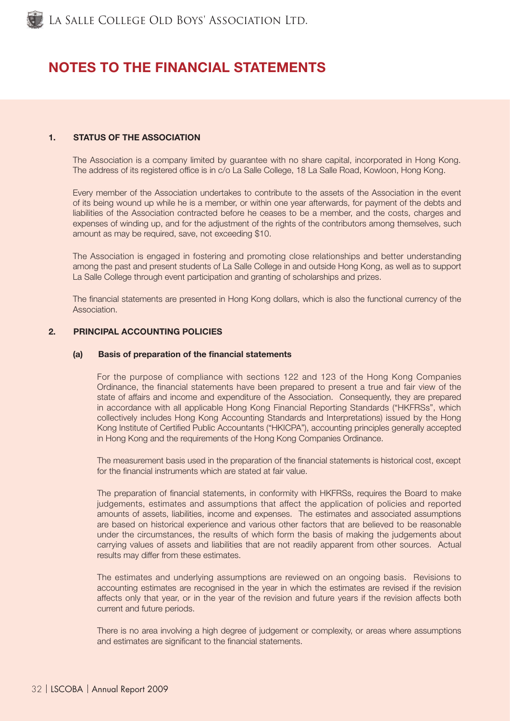

# NOTES TO THE FINANCIAL STATEMENTS

# 1. STATUS OF THE ASSOCIATION

The Association is a company limited by guarantee with no share capital, incorporated in Hong Kong. The address of its registered office is in c/o La Salle College, 18 La Salle Road, Kowloon, Hong Kong.

Every member of the Association undertakes to contribute to the assets of the Association in the event of its being wound up while he is a member, or within one year afterwards, for payment of the debts and liabilities of the Association contracted before he ceases to be a member, and the costs, charges and expenses of winding up, and for the adjustment of the rights of the contributors among themselves, such amount as may be required, save, not exceeding \$10.

The Association is engaged in fostering and promoting close relationships and better understanding among the past and present students of La Salle College in and outside Hong Kong, as well as to support La Salle College through event participation and granting of scholarships and prizes.

The financial statements are presented in Hong Kong dollars, which is also the functional currency of the Association.

# 2. PRINCIPAL ACCOUNTING POLICIES

#### (a) Basis of preparation of the financial statements

For the purpose of compliance with sections 122 and 123 of the Hong Kong Companies Ordinance, the financial statements have been prepared to present a true and fair view of the state of affairs and income and expenditure of the Association. Consequently, they are prepared in accordance with all applicable Hong Kong Financial Reporting Standards ("HKFRSs", which collectively includes Hong Kong Accounting Standards and Interpretations) issued by the Hong Kong Institute of Certified Public Accountants ("HKICPA"), accounting principles generally accepted in Hong Kong and the requirements of the Hong Kong Companies Ordinance.

The measurement basis used in the preparation of the financial statements is historical cost, except for the financial instruments which are stated at fair value.

The preparation of financial statements, in conformity with HKFRSs, requires the Board to make judgements, estimates and assumptions that affect the application of policies and reported amounts of assets, liabilities, income and expenses. The estimates and associated assumptions are based on historical experience and various other factors that are believed to be reasonable under the circumstances, the results of which form the basis of making the judgements about carrying values of assets and liabilities that are not readily apparent from other sources. Actual results may differ from these estimates.

The estimates and underlying assumptions are reviewed on an ongoing basis. Revisions to accounting estimates are recognised in the year in which the estimates are revised if the revision affects only that year, or in the year of the revision and future years if the revision affects both current and future periods.

There is no area involving a high degree of judgement or complexity, or areas where assumptions and estimates are significant to the financial statements.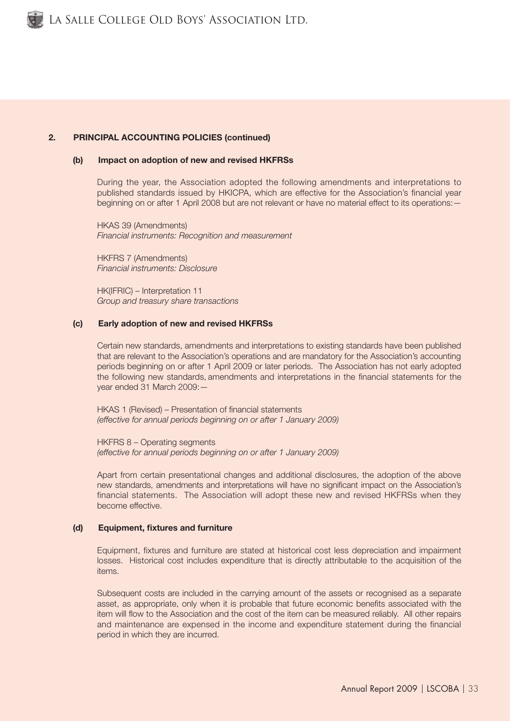## 2. PRINCIPAL ACCOUNTING POLICIES (continued)

#### (b) Impact on adoption of new and revised HKFRSs

During the year, the Association adopted the following amendments and interpretations to published standards issued by HKICPA, which are effective for the Association's financial year beginning on or after 1 April 2008 but are not relevant or have no material effect to its operations: -

HKAS 39 (Amendments) *Financial instruments: Recognition and measurement*

HKFRS 7 (Amendments) *Financial instruments: Disclosure*

HK(IFRIC) – Interpretation 11 *Group and treasury share transactions*

#### (c) Early adoption of new and revised HKFRSs

Certain new standards, amendments and interpretations to existing standards have been published that are relevant to the Association's operations and are mandatory for the Association's accounting periods beginning on or after 1 April 2009 or later periods. The Association has not early adopted the following new standards, amendments and interpretations in the financial statements for the year ended 31 March 2009:—

HKAS 1 (Revised) – Presentation of financial statements *(effective for annual periods beginning on or after 1 January 2009)*

HKFRS 8 – Operating segments *(effective for annual periods beginning on or after 1 January 2009)*

Apart from certain presentational changes and additional disclosures, the adoption of the above new standards, amendments and interpretations will have no significant impact on the Association's financial statements. The Association will adopt these new and revised HKFRSs when they become effective.

#### (d) Equipment, fixtures and furniture

Equipment, fixtures and furniture are stated at historical cost less depreciation and impairment losses. Historical cost includes expenditure that is directly attributable to the acquisition of the items.

Subsequent costs are included in the carrying amount of the assets or recognised as a separate asset, as appropriate, only when it is probable that future economic benefits associated with the item will flow to the Association and the cost of the item can be measured reliably. All other repairs and maintenance are expensed in the income and expenditure statement during the financial period in which they are incurred.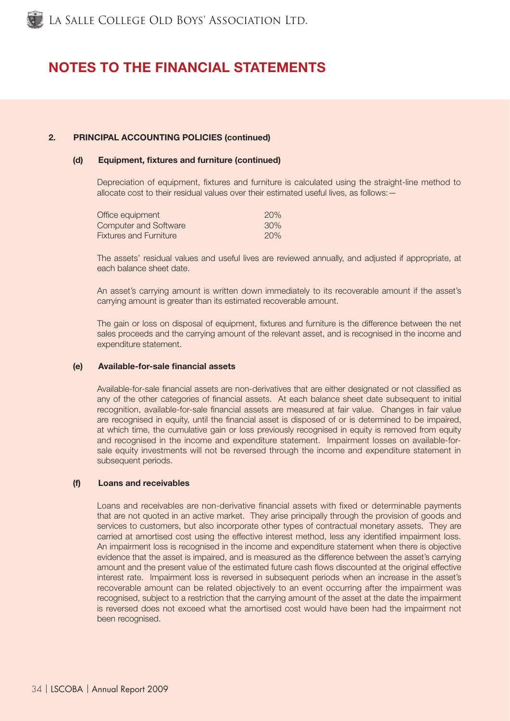# NOTES TO THE FINANCIAL STATEMENTS

# 2. PRINCIPAL ACCOUNTING POLICIES (continued)

#### (d) Equipment, fixtures and furniture (continued)

Depreciation of equipment, fixtures and furniture is calculated using the straight-line method to allocate cost to their residual values over their estimated useful lives, as follows:—

| Office equipment              | 20% |
|-------------------------------|-----|
| <b>Computer and Software</b>  | 30% |
| <b>Fixtures and Furniture</b> | 20% |

The assets' residual values and useful lives are reviewed annually, and adjusted if appropriate, at each balance sheet date.

An asset's carrying amount is written down immediately to its recoverable amount if the asset's carrying amount is greater than its estimated recoverable amount.

The gain or loss on disposal of equipment, fixtures and furniture is the difference between the net sales proceeds and the carrying amount of the relevant asset, and is recognised in the income and expenditure statement.

#### (e) Available-for-sale financial assets

Available-for-sale financial assets are non-derivatives that are either designated or not classified as any of the other categories of financial assets. At each balance sheet date subsequent to initial recognition, available-for-sale financial assets are measured at fair value. Changes in fair value are recognised in equity, until the financial asset is disposed of or is determined to be impaired, at which time, the cumulative gain or loss previously recognised in equity is removed from equity and recognised in the income and expenditure statement. Impairment losses on available-forsale equity investments will not be reversed through the income and expenditure statement in subsequent periods.

#### (f) Loans and receivables

Loans and receivables are non-derivative financial assets with fixed or determinable payments that are not quoted in an active market. They arise principally through the provision of goods and services to customers, but also incorporate other types of contractual monetary assets. They are carried at amortised cost using the effective interest method, less any identified impairment loss. An impairment loss is recognised in the income and expenditure statement when there is objective evidence that the asset is impaired, and is measured as the difference between the asset's carrying amount and the present value of the estimated future cash flows discounted at the original effective interest rate. Impairment loss is reversed in subsequent periods when an increase in the asset's recoverable amount can be related objectively to an event occurring after the impairment was recognised, subject to a restriction that the carrying amount of the asset at the date the impairment is reversed does not exceed what the amortised cost would have been had the impairment not been recognised.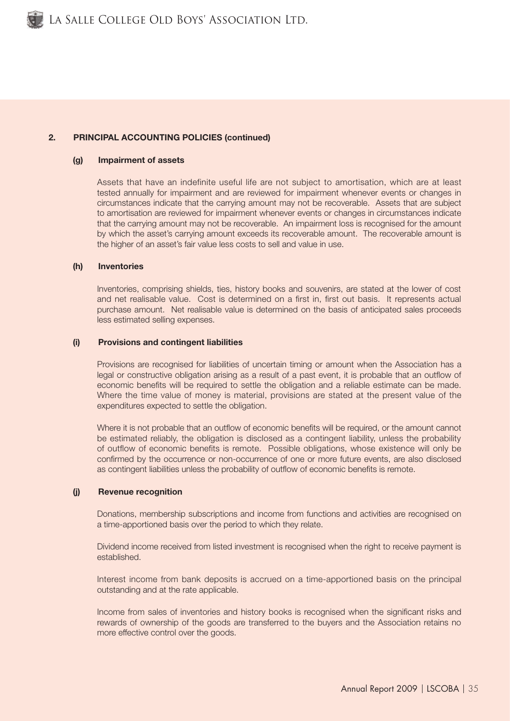# 2. PRINCIPAL ACCOUNTING POLICIES (continued)

#### (g) Impairment of assets

Assets that have an indefinite useful life are not subject to amortisation, which are at least tested annually for impairment and are reviewed for impairment whenever events or changes in circumstances indicate that the carrying amount may not be recoverable. Assets that are subject to amortisation are reviewed for impairment whenever events or changes in circumstances indicate that the carrying amount may not be recoverable. An impairment loss is recognised for the amount by which the asset's carrying amount exceeds its recoverable amount. The recoverable amount is the higher of an asset's fair value less costs to sell and value in use.

#### (h) Inventories

Inventories, comprising shields, ties, history books and souvenirs, are stated at the lower of cost and net realisable value. Cost is determined on a first in, first out basis. It represents actual purchase amount. Net realisable value is determined on the basis of anticipated sales proceeds less estimated selling expenses.

#### (i) Provisions and contingent liabilities

Provisions are recognised for liabilities of uncertain timing or amount when the Association has a legal or constructive obligation arising as a result of a past event, it is probable that an outflow of economic benefits will be required to settle the obligation and a reliable estimate can be made. Where the time value of money is material, provisions are stated at the present value of the expenditures expected to settle the obligation.

Where it is not probable that an outflow of economic benefits will be required, or the amount cannot be estimated reliably, the obligation is disclosed as a contingent liability, unless the probability of outflow of economic benefits is remote. Possible obligations, whose existence will only be confirmed by the occurrence or non-occurrence of one or more future events, are also disclosed as contingent liabilities unless the probability of outflow of economic benefits is remote.

### (j) Revenue recognition

Donations, membership subscriptions and income from functions and activities are recognised on a time-apportioned basis over the period to which they relate.

Dividend income received from listed investment is recognised when the right to receive payment is established.

Interest income from bank deposits is accrued on a time-apportioned basis on the principal outstanding and at the rate applicable.

Income from sales of inventories and history books is recognised when the significant risks and rewards of ownership of the goods are transferred to the buyers and the Association retains no more effective control over the goods.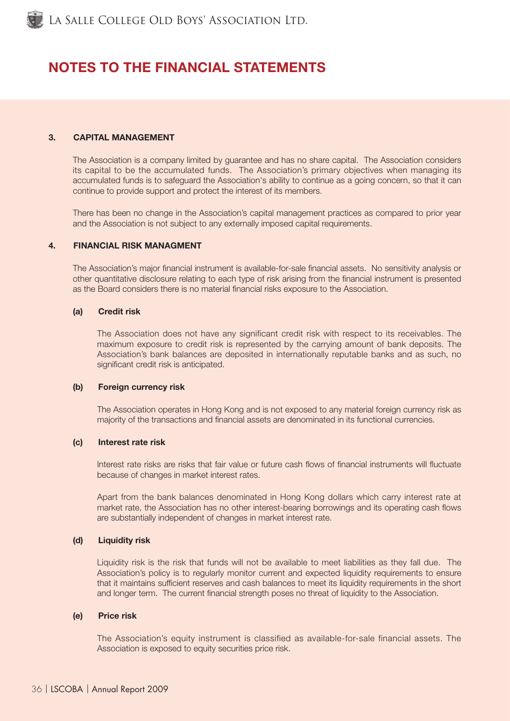# NOTES TO THE FINANCIAL STATEMENTS

# 3. CAPITAL MANAGEMENT

The Association is a company limited by guarantee and has no share capital. The Association considers its capital to be the accumulated funds. The Association's primary objectives when managing its accumulated funds is to safeguard the Association's ability to continue as a going concern, so that it can continue to provide support and protect the interest of its members.

There has been no change in the Association's capital management practices as compared to prior year and the Association is not subject to any externally imposed capital requirements.

#### 4. FINANCIAL RISK MANAGMENT

The Association's major financial instrument is available-for-sale financial assets. No sensitivity analysis or other quantitative disclosure relating to each type of risk arising from the financial instrument is presented as the Board considers there is no material financial risks exposure to the Association.

#### (a) Credit risk

The Association does not have any significant credit risk with respect to its receivables. The maximum exposure to credit risk is represented by the carrying amount of bank deposits. The Association's bank balances are deposited in internationally reputable banks and as such, no significant credit risk is anticipated.

#### (b) Foreign currency risk

The Association operates in Hong Kong and is not exposed to any material foreign currency risk as majority of the transactions and financial assets are denominated in its functional currencies.

#### (c) Interest rate risk

Interest rate risks are risks that fair value or future cash flows of financial instruments will fluctuate because of changes in market interest rates.

Apart from the bank balances denominated in Hong Kong dollars which carry interest rate at market rate, the Association has no other interest-bearing borrowings and its operating cash flows are substantially independent of changes in market interest rate.

#### (d) Liquidity risk

Liquidity risk is the risk that funds will not be available to meet liabilities as they fall due. The Association's policy is to regularly monitor current and expected liquidity requirements to ensure that it maintains sufficient reserves and cash balances to meet its liquidity requirements in the short and longer term. The current financial strength poses no threat of liquidity to the Association.

# (e) Price risk

The Association's equity instrument is classified as available-for-sale financial assets. The Association is exposed to equity securities price risk.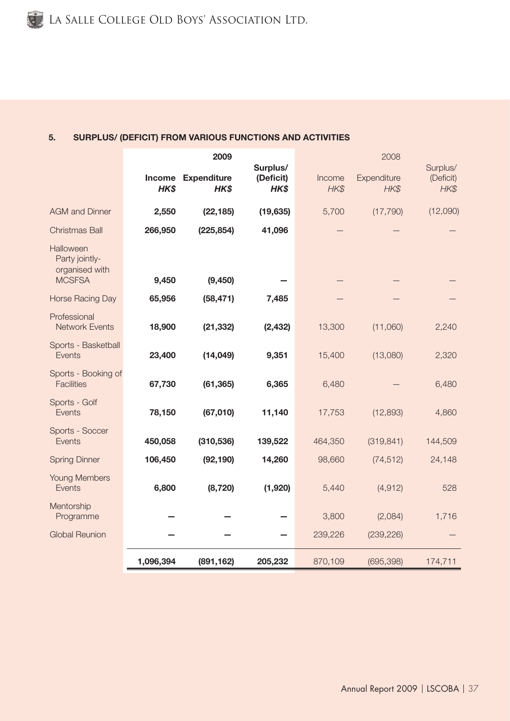# 5. SURPLUS/ (DEFICIT) FROM VARIOUS FUNCTIONS AND ACTIVITIES

|                                                                |           | 2009                       |                               |                | 2008                |                               |
|----------------------------------------------------------------|-----------|----------------------------|-------------------------------|----------------|---------------------|-------------------------------|
|                                                                | HK\$      | Income Expenditure<br>HK\$ | Surplus/<br>(Deficit)<br>HK\$ | Income<br>HK\$ | Expenditure<br>HK\$ | Surplus/<br>(Deficit)<br>HK\$ |
| <b>AGM</b> and Dinner                                          | 2,550     | (22, 185)                  | (19, 635)                     | 5,700          | (17, 790)           | (12,090)                      |
| <b>Christmas Ball</b>                                          | 266,950   | (225, 854)                 | 41,096                        |                |                     |                               |
| Halloween<br>Party jointly-<br>organised with<br><b>MCSFSA</b> | 9,450     | (9, 450)                   |                               |                |                     |                               |
| <b>Horse Racing Day</b>                                        | 65,956    | (58, 471)                  | 7,485                         |                |                     |                               |
| Professional<br><b>Network Events</b>                          | 18,900    | (21, 332)                  | (2, 432)                      | 13,300         | (11,060)            | 2,240                         |
| Sports - Basketball<br>Events                                  | 23,400    | (14, 049)                  | 9,351                         | 15,400         | (13,080)            | 2,320                         |
| Sports - Booking of<br><b>Facilities</b>                       | 67,730    | (61, 365)                  | 6,365                         | 6,480          |                     | 6,480                         |
| Sports - Golf<br>Events                                        | 78,150    | (67,010)                   | 11,140                        | 17,753         | (12, 893)           | 4,860                         |
| Sports - Soccer<br>Events                                      | 450,058   | (310, 536)                 | 139,522                       | 464,350        | (319, 841)          | 144,509                       |
| <b>Spring Dinner</b>                                           | 106,450   | (92, 190)                  | 14,260                        | 98,660         | (74, 512)           | 24,148                        |
| <b>Young Members</b><br>Events                                 | 6,800     | (8, 720)                   | (1,920)                       | 5,440          | (4, 912)            | 528                           |
| Mentorship<br>Programme                                        |           |                            |                               | 3,800          | (2,084)             | 1,716                         |
| <b>Global Reunion</b>                                          |           |                            |                               | 239,226        | (239, 226)          |                               |
|                                                                | 1,096,394 | (891, 162)                 | 205,232                       | 870,109        | (695, 398)          | 174,711                       |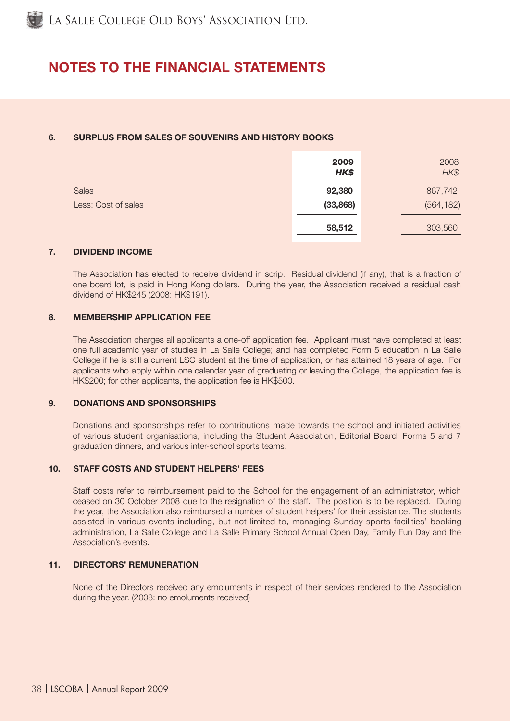# NOTES TO THE FINANCIAL STATEMENTS

# 6. SURPLUS FROM SALES OF SOUVENIRS AND HISTORY BOOKS

|                     | 2009<br>HK\$ | 2008<br>HK\$ |
|---------------------|--------------|--------------|
| <b>Sales</b>        | 92,380       | 867,742      |
| Less: Cost of sales | (33, 868)    | (564, 182)   |
|                     | 58,512       | 303,560      |

## 7. DIVIDEND INCOME

The Association has elected to receive dividend in scrip. Residual dividend (if any), that is a fraction of one board lot, is paid in Hong Kong dollars. During the year, the Association received a residual cash dividend of HK\$245 (2008: HK\$191).

## 8. MEMBERSHIP APPLICATION FEE

The Association charges all applicants a one-off application fee. Applicant must have completed at least one full academic year of studies in La Salle College; and has completed Form 5 education in La Salle College if he is still a current LSC student at the time of application, or has attained 18 years of age. For applicants who apply within one calendar year of graduating or leaving the College, the application fee is HK\$200; for other applicants, the application fee is HK\$500.

# 9. DONATIONS AND SPONSORSHIPS

Donations and sponsorships refer to contributions made towards the school and initiated activities of various student organisations, including the Student Association, Editorial Board, Forms 5 and 7 graduation dinners, and various inter-school sports teams.

# 10. STAFF COSTS AND STUDENT HELPERS' FEES

Staff costs refer to reimbursement paid to the School for the engagement of an administrator, which ceased on 30 October 2008 due to the resignation of the staff. The position is to be replaced. During the year, the Association also reimbursed a number of student helpers' for their assistance. The students assisted in various events including, but not limited to, managing Sunday sports facilities' booking administration, La Salle College and La Salle Primary School Annual Open Day, Family Fun Day and the Association's events.

# 11. DIRECTORS' REMUNERATION

None of the Directors received any emoluments in respect of their services rendered to the Association during the year. (2008: no emoluments received)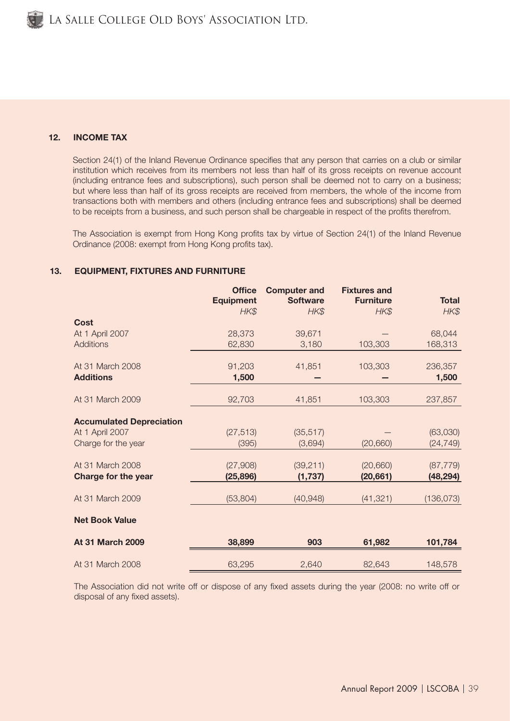# 12. INCOME TAX

Section 24(1) of the Inland Revenue Ordinance specifies that any person that carries on a club or similar institution which receives from its members not less than half of its gross receipts on revenue account (including entrance fees and subscriptions), such person shall be deemed not to carry on a business; but where less than half of its gross receipts are received from members, the whole of the income from transactions both with members and others (including entrance fees and subscriptions) shall be deemed to be receipts from a business, and such person shall be chargeable in respect of the profits therefrom.

The Association is exempt from Hong Kong profits tax by virtue of Section 24(1) of the Inland Revenue Ordinance (2008: exempt from Hong Kong profits tax).

# 13. EQUIPMENT, FIXTURES AND FURNITURE

|                                 | <b>Office</b><br><b>Equipment</b><br>HK\$ | <b>Computer and</b><br><b>Software</b><br>HK\$ | <b>Fixtures and</b><br><b>Furniture</b><br>HK\$ | <b>Total</b><br>HK\$ |
|---------------------------------|-------------------------------------------|------------------------------------------------|-------------------------------------------------|----------------------|
| Cost                            |                                           |                                                |                                                 |                      |
| At 1 April 2007                 | 28,373                                    | 39,671                                         |                                                 | 68,044               |
| <b>Additions</b>                | 62,830                                    | 3,180                                          | 103,303                                         | 168,313              |
| At 31 March 2008                | 91,203                                    | 41,851                                         | 103,303                                         | 236,357              |
| <b>Additions</b>                | 1,500                                     |                                                |                                                 | 1,500                |
| At 31 March 2009                | 92,703                                    | 41,851                                         | 103,303                                         | 237,857              |
| <b>Accumulated Depreciation</b> |                                           |                                                |                                                 |                      |
| At 1 April 2007                 | (27, 513)                                 | (35, 517)                                      |                                                 | (63,030)             |
| Charge for the year             | (395)                                     | (3,694)                                        | (20, 660)                                       | (24, 749)            |
| At 31 March 2008                | (27,908)                                  | (39, 211)                                      | (20,660)                                        | (87, 779)            |
| <b>Charge for the year</b>      | (25, 896)                                 | (1,737)                                        | (20, 661)                                       | (48,294)             |
| At 31 March 2009                | (53, 804)                                 | (40, 948)                                      | (41, 321)                                       | (136, 073)           |
| <b>Net Book Value</b>           |                                           |                                                |                                                 |                      |
| <b>At 31 March 2009</b>         | 38,899                                    | 903                                            | 61,982                                          | 101,784              |
| At 31 March 2008                | 63,295                                    | 2,640                                          | 82,643                                          | 148,578              |

The Association did not write off or dispose of any fixed assets during the year (2008: no write off or disposal of any fixed assets).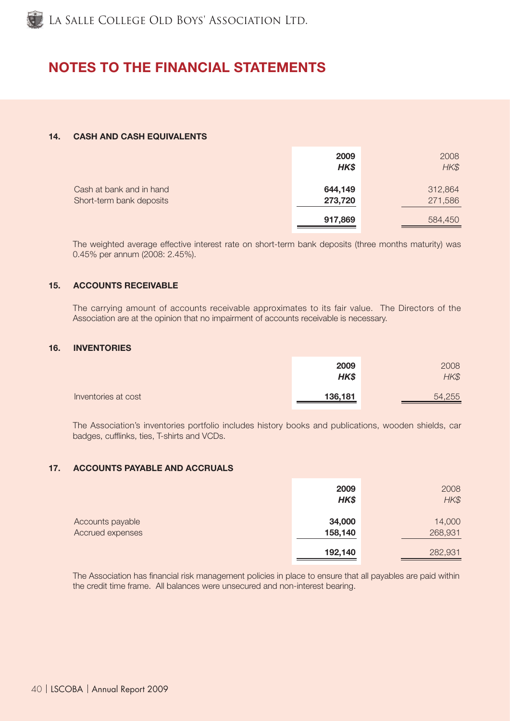

# NOTES TO THE FINANCIAL STATEMENTS

# 14. CASH AND CASH EQUIVALENTS

|                                                      | 2009<br>HK\$       | 2008<br>HK\$       |
|------------------------------------------------------|--------------------|--------------------|
| Cash at bank and in hand<br>Short-term bank deposits | 644,149<br>273,720 | 312,864<br>271,586 |
|                                                      | 917,869            | 584,450            |

The weighted average effective interest rate on short-term bank deposits (three months maturity) was 0.45% per annum (2008: 2.45%).

# 15. ACCOUNTS RECEIVABLE

The carrying amount of accounts receivable approximates to its fair value. The Directors of the Association are at the opinion that no impairment of accounts receivable is necessary.

# 16. INVENTORIES

|                     | 2009<br>HK\$ | 2008<br>HK\$ |
|---------------------|--------------|--------------|
| Inventories at cost | 136,181      | 54,255       |

The Association's inventories portfolio includes history books and publications, wooden shields, car badges, cufflinks, ties, T-shirts and VCDs.

#### 17. ACCOUNTS PAYABLE AND ACCRUALS

|                                      | 2009<br>HK\$      | 2008<br>HK\$      |
|--------------------------------------|-------------------|-------------------|
| Accounts payable<br>Accrued expenses | 34,000<br>158,140 | 14,000<br>268,931 |
|                                      | 192,140           | 282,931           |

The Association has financial risk management policies in place to ensure that all payables are paid within the credit time frame. All balances were unsecured and non-interest bearing.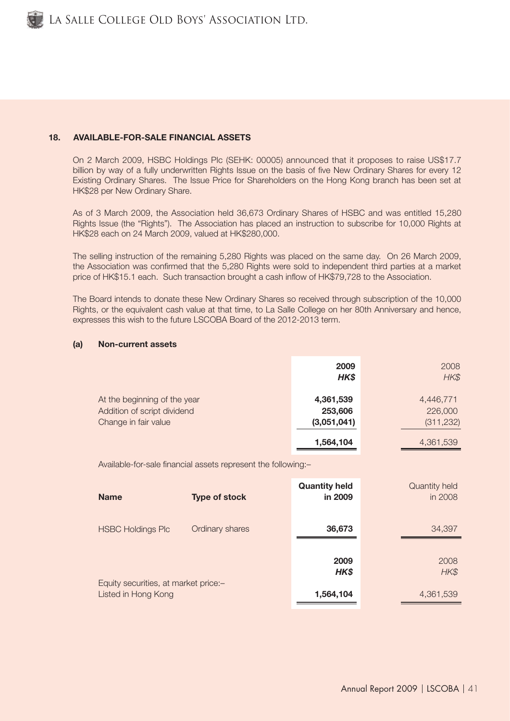

# 18. AVAILABLE-FOR-SALE FINANCIAL ASSETS

On 2 March 2009, HSBC Holdings Plc (SEHK: 00005) announced that it proposes to raise US\$17.7 billion by way of a fully underwritten Rights Issue on the basis of five New Ordinary Shares for every 12 Existing Ordinary Shares. The Issue Price for Shareholders on the Hong Kong branch has been set at HK\$28 per New Ordinary Share.

As of 3 March 2009, the Association held 36,673 Ordinary Shares of HSBC and was entitled 15,280 Rights Issue (the "Rights"). The Association has placed an instruction to subscribe for 10,000 Rights at HK\$28 each on 24 March 2009, valued at HK\$280,000.

The selling instruction of the remaining 5,280 Rights was placed on the same day. On 26 March 2009, the Association was confirmed that the 5,280 Rights were sold to independent third parties at a market price of HK\$15.1 each. Such transaction brought a cash inflow of HK\$79,728 to the Association.

The Board intends to donate these New Ordinary Shares so received through subscription of the 10,000 Rights, or the equivalent cash value at that time, to La Salle College on her 80th Anniversary and hence, expresses this wish to the future LSCOBA Board of the 2012-2013 term.

#### (a) Non-current assets

|                                                                                     | 2009<br>HK\$                        | 2008<br>HK\$                       |
|-------------------------------------------------------------------------------------|-------------------------------------|------------------------------------|
| At the beginning of the year<br>Addition of script dividend<br>Change in fair value | 4,361,539<br>253,606<br>(3,051,041) | 4,446,771<br>226,000<br>(311, 232) |
|                                                                                     | 1,564,104                           | 4,361,539                          |

Available-for-sale financial assets represent the following:-

| <b>Name</b>                                                 | <b>Type of stock</b> | <b>Quantity held</b><br>in 2009 | Quantity held<br>in 2008 |
|-------------------------------------------------------------|----------------------|---------------------------------|--------------------------|
| <b>HSBC Holdings Plc</b>                                    | Ordinary shares      | 36,673                          | 34,397                   |
|                                                             |                      | 2009<br>HK\$                    | 2008<br>HK\$             |
| Equity securities, at market price:-<br>Listed in Hong Kong |                      | 1,564,104                       | 4,361,539                |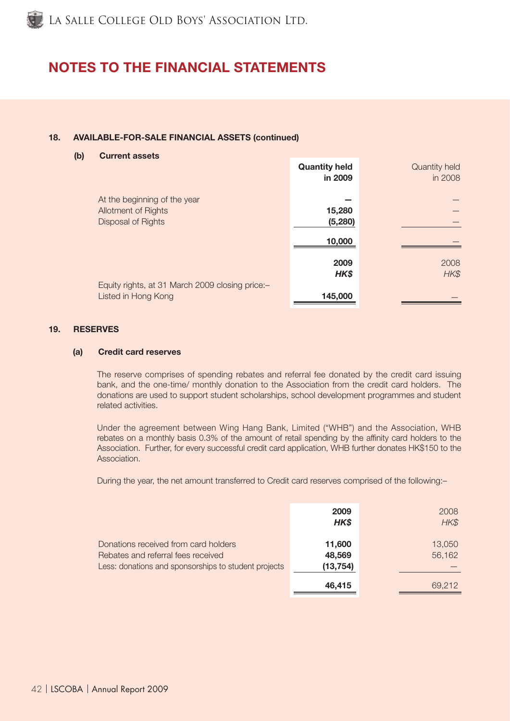# NOTES TO THE FINANCIAL STATEMENTS

# 18. AVAILABLE-FOR-SALE FINANCIAL ASSETS (continued)

#### (b) Current assets

|                                                 | <b>Quantity held</b> | Quantity held |
|-------------------------------------------------|----------------------|---------------|
|                                                 | in 2009              | in 2008       |
|                                                 |                      |               |
| At the beginning of the year                    |                      |               |
| Allotment of Rights                             | 15,280               |               |
| Disposal of Rights                              | (5, 280)             |               |
|                                                 |                      |               |
|                                                 | 10,000               |               |
|                                                 |                      |               |
|                                                 | 2009                 | 2008          |
|                                                 | HK\$                 | HK\$          |
| Equity rights, at 31 March 2009 closing price:- |                      |               |
| Listed in Hong Kong                             | 145,000              |               |

#### 19. RESERVES

# (a) Credit card reserves

The reserve comprises of spending rebates and referral fee donated by the credit card issuing bank, and the one-time/ monthly donation to the Association from the credit card holders. The donations are used to support student scholarships, school development programmes and student related activities.

Under the agreement between Wing Hang Bank, Limited ("WHB") and the Association, WHB rebates on a monthly basis 0.3% of the amount of retail spending by the affinity card holders to the Association. Further, for every successful credit card application, WHB further donates HK\$150 to the Association.

During the year, the net amount transferred to Credit card reserves comprised of the following:–

|                                                                                                                                    | 2009<br>HK\$                  | 2008<br>HK\$     |
|------------------------------------------------------------------------------------------------------------------------------------|-------------------------------|------------------|
| Donations received from card holders<br>Rebates and referral fees received<br>Less: donations and sponsorships to student projects | 11,600<br>48,569<br>(13, 754) | 13,050<br>56,162 |
|                                                                                                                                    | 46,415                        | 69.212           |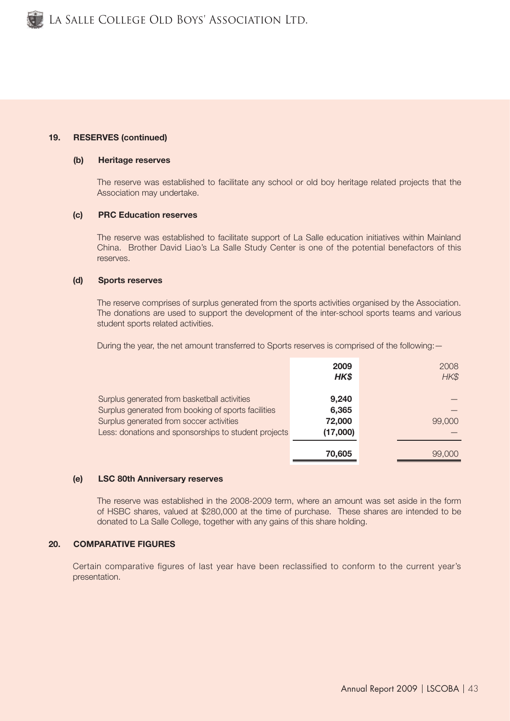# 19. RESERVES (continued)

#### (b) Heritage reserves

The reserve was established to facilitate any school or old boy heritage related projects that the Association may undertake.

#### (c) PRC Education reserves

The reserve was established to facilitate support of La Salle education initiatives within Mainland China. Brother David Liao's La Salle Study Center is one of the potential benefactors of this reserves.

#### (d) Sports reserves

The reserve comprises of surplus generated from the sports activities organised by the Association. The donations are used to support the development of the inter-school sports teams and various student sports related activities.

During the year, the net amount transferred to Sports reserves is comprised of the following: —

|                                                      | 2009<br>HK\$ | 2008<br>HK\$ |
|------------------------------------------------------|--------------|--------------|
| Surplus generated from basketball activities         | 9,240        |              |
| Surplus generated from booking of sports facilities  | 6,365        |              |
| Surplus generated from soccer activities             | 72,000       | 99,000       |
| Less: donations and sponsorships to student projects | (17,000)     |              |
|                                                      | 70,605       | 99,000       |

#### (e) LSC 80th Anniversary reserves

The reserve was established in the 2008-2009 term, where an amount was set aside in the form of HSBC shares, valued at \$280,000 at the time of purchase. These shares are intended to be donated to La Salle College, together with any gains of this share holding.

# 20. COMPARATIVE FIGURES

Certain comparative figures of last year have been reclassified to conform to the current year's presentation.